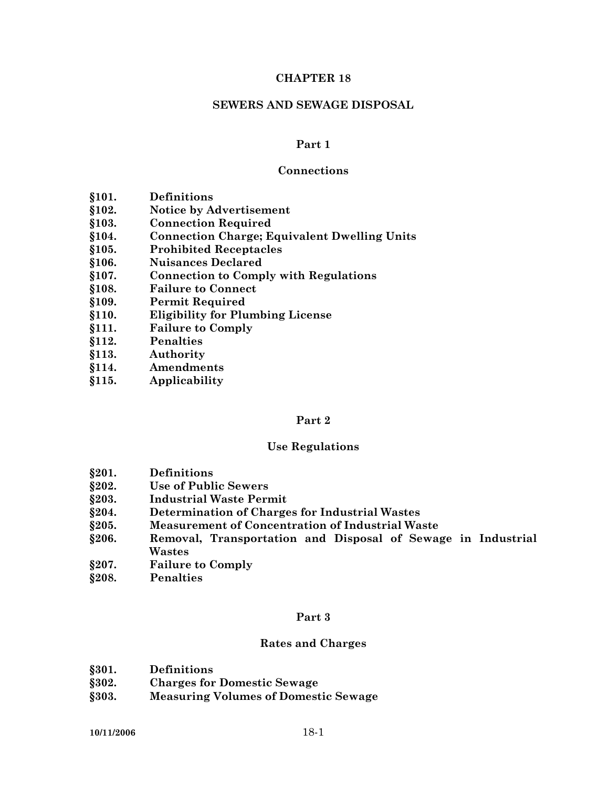#### **CHAPTER 18**

#### **SEWERS AND SEWAGE DISPOSAL**

#### **Part 1**

#### **Connections**

- **§101. Definitions**
- **§102. Notice by Advertisement**
- **§103. Connection Required**
- **§104. Connection Charge; Equivalent Dwelling Units**
- **§105. Prohibited Receptacles**
- **§106. Nuisances Declared**
- **§107. Connection to Comply with Regulations**
- **§108. Failure to Connect**
- **§109. Permit Required**
- **§110. Eligibility for Plumbing License**
- **§111. Failure to Comply**
- **§112. Penalties**
- **§113. Authority**
- **§114. Amendments**
- **§115. Applicability**

#### **Part 2**

#### **Use Regulations**

- **§201. Definitions**
- **§202. Use of Public Sewers**
- **§203. Industrial Waste Permit**
- **§204. Determination of Charges for Industrial Wastes**
- **§205. Measurement of Concentration of Industrial Waste**
- **§206. Removal, Transportation and Disposal of Sewage in Industrial Wastes**
- **§207. Failure to Comply**
- **§208. Penalties**

#### **Part 3**

#### **Rates and Charges**

- **§301. Definitions**
- **§302. Charges for Domestic Sewage**
- **§303. Measuring Volumes of Domestic Sewage**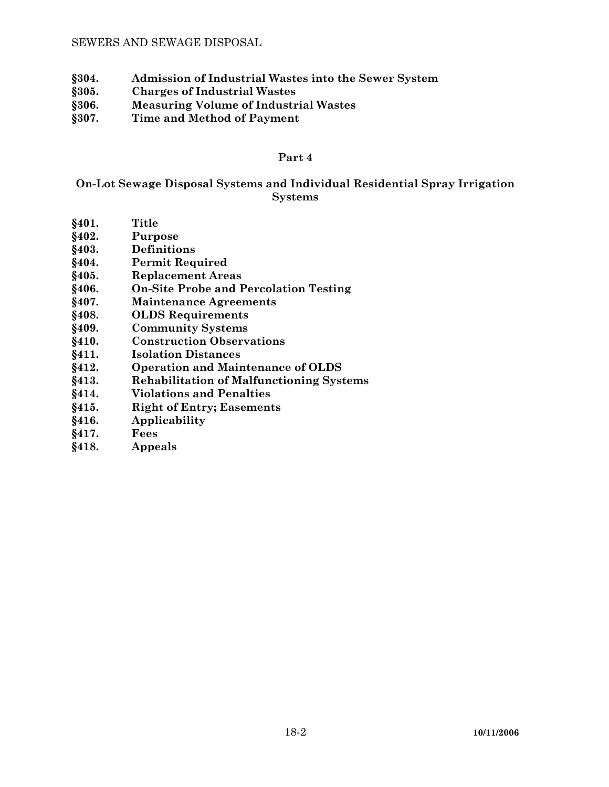- **§304. Admission of Industrial Wastes into the Sewer System**
- **§305. Charges of Industrial Wastes**
- **§306. Measuring Volume of Industrial Wastes**
- **§307. Time and Method of Payment**

#### **Part 4**

# **On-Lot Sewage Disposal Systems and Individual Residential Spray Irrigation Systems**

- **§401. Title**
- **§402. Purpose**
- **§403. Definitions**
- **§404. Permit Required**
- **§405. Replacement Areas**
- **§406. On-Site Probe and Percolation Testing**
- **§407. Maintenance Agreements**
- **§408. OLDS Requirements**
- **§409. Community Systems**
- **§410. Construction Observations**
- **§411. Isolation Distances**
- **§412. Operation and Maintenance of OLDS**
- **§413. Rehabilitation of Malfunctioning Systems**
- **§414. Violations and Penalties**
- **§415. Right of Entry; Easements**
- **§416. Applicability**
- **§417. Fees**
- **§418. Appeals**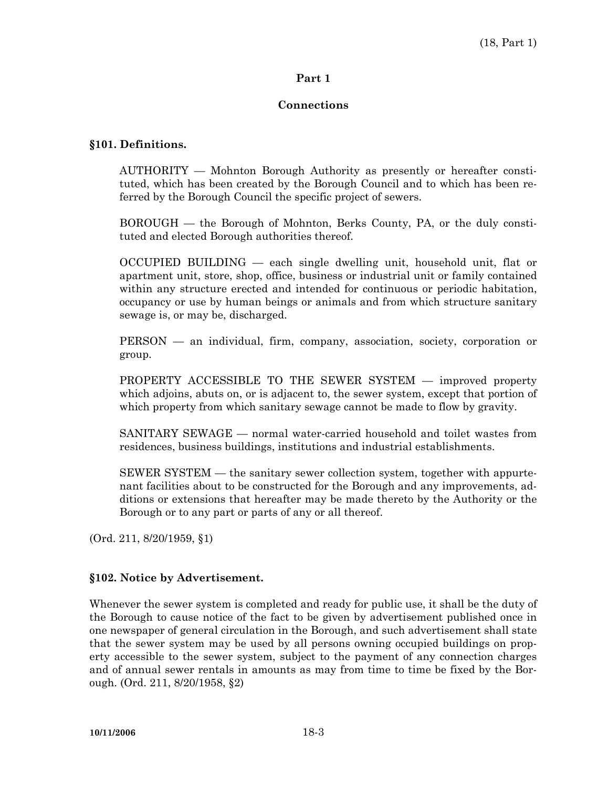### **Part 1**

### **Connections**

### **§101. Definitions.**

 AUTHORITY — Mohnton Borough Authority as presently or hereafter constituted, which has been created by the Borough Council and to which has been referred by the Borough Council the specific project of sewers.

 BOROUGH — the Borough of Mohnton, Berks County, PA, or the duly constituted and elected Borough authorities thereof.

 OCCUPIED BUILDING — each single dwelling unit, household unit, flat or apartment unit, store, shop, office, business or industrial unit or family contained within any structure erected and intended for continuous or periodic habitation, occupancy or use by human beings or animals and from which structure sanitary sewage is, or may be, discharged.

 PERSON — an individual, firm, company, association, society, corporation or group.

 PROPERTY ACCESSIBLE TO THE SEWER SYSTEM — improved property which adjoins, abuts on, or is adjacent to, the sewer system, except that portion of which property from which sanitary sewage cannot be made to flow by gravity.

 SANITARY SEWAGE — normal water-carried household and toilet wastes from residences, business buildings, institutions and industrial establishments.

 SEWER SYSTEM — the sanitary sewer collection system, together with appurtenant facilities about to be constructed for the Borough and any improvements, additions or extensions that hereafter may be made thereto by the Authority or the Borough or to any part or parts of any or all thereof.

(Ord. 211, 8/20/1959, §1)

#### **§102. Notice by Advertisement.**

Whenever the sewer system is completed and ready for public use, it shall be the duty of the Borough to cause notice of the fact to be given by advertisement published once in one newspaper of general circulation in the Borough, and such advertisement shall state that the sewer system may be used by all persons owning occupied buildings on property accessible to the sewer system, subject to the payment of any connection charges and of annual sewer rentals in amounts as may from time to time be fixed by the Borough. (Ord. 211, 8/20/1958, §2)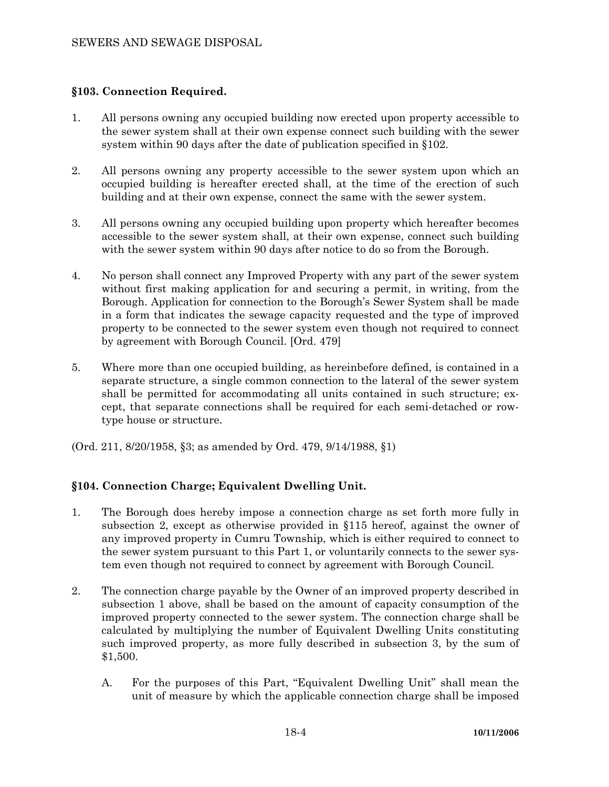# **§103. Connection Required.**

- 1. All persons owning any occupied building now erected upon property accessible to the sewer system shall at their own expense connect such building with the sewer system within 90 days after the date of publication specified in §102.
- 2. All persons owning any property accessible to the sewer system upon which an occupied building is hereafter erected shall, at the time of the erection of such building and at their own expense, connect the same with the sewer system.
- 3. All persons owning any occupied building upon property which hereafter becomes accessible to the sewer system shall, at their own expense, connect such building with the sewer system within 90 days after notice to do so from the Borough.
- 4. No person shall connect any Improved Property with any part of the sewer system without first making application for and securing a permit, in writing, from the Borough. Application for connection to the Borough's Sewer System shall be made in a form that indicates the sewage capacity requested and the type of improved property to be connected to the sewer system even though not required to connect by agreement with Borough Council. [Ord. 479]
- 5. Where more than one occupied building, as hereinbefore defined, is contained in a separate structure, a single common connection to the lateral of the sewer system shall be permitted for accommodating all units contained in such structure; except, that separate connections shall be required for each semi-detached or rowtype house or structure.
- (Ord. 211, 8/20/1958, §3; as amended by Ord. 479, 9/14/1988, §1)

# **§104. Connection Charge; Equivalent Dwelling Unit.**

- 1. The Borough does hereby impose a connection charge as set forth more fully in subsection 2, except as otherwise provided in §115 hereof, against the owner of any improved property in Cumru Township, which is either required to connect to the sewer system pursuant to this Part 1, or voluntarily connects to the sewer system even though not required to connect by agreement with Borough Council.
- 2. The connection charge payable by the Owner of an improved property described in subsection 1 above, shall be based on the amount of capacity consumption of the improved property connected to the sewer system. The connection charge shall be calculated by multiplying the number of Equivalent Dwelling Units constituting such improved property, as more fully described in subsection 3, by the sum of \$1,500.
	- A. For the purposes of this Part, "Equivalent Dwelling Unit" shall mean the unit of measure by which the applicable connection charge shall be imposed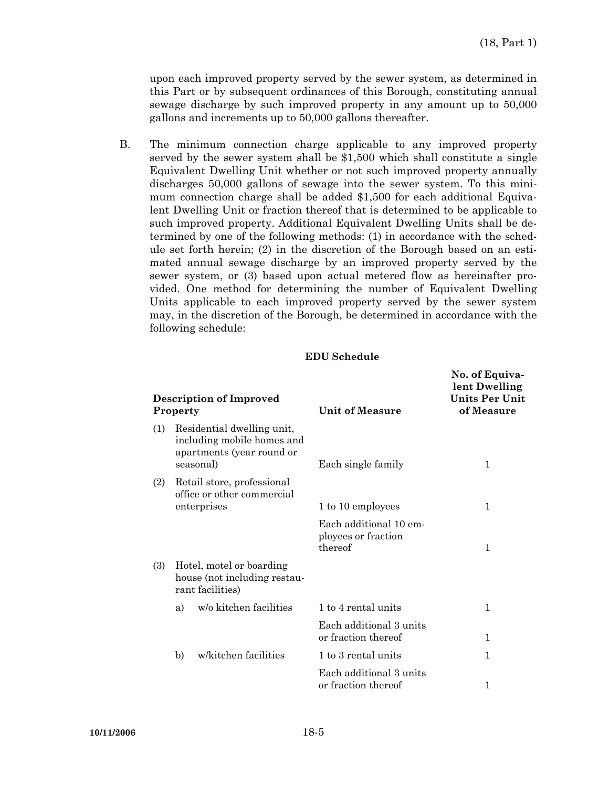upon each improved property served by the sewer system, as determined in this Part or by subsequent ordinances of this Borough, constituting annual sewage discharge by such improved property in any amount up to 50,000 gallons and increments up to 50,000 gallons thereafter.

 B. The minimum connection charge applicable to any improved property served by the sewer system shall be \$1,500 which shall constitute a single Equivalent Dwelling Unit whether or not such improved property annually discharges 50,000 gallons of sewage into the sewer system. To this minimum connection charge shall be added \$1,500 for each additional Equivalent Dwelling Unit or fraction thereof that is determined to be applicable to such improved property. Additional Equivalent Dwelling Units shall be determined by one of the following methods: (1) in accordance with the schedule set forth herein; (2) in the discretion of the Borough based on an estimated annual sewage discharge by an improved property served by the sewer system, or (3) based upon actual metered flow as hereinafter provided. One method for determining the number of Equivalent Dwelling Units applicable to each improved property served by the sewer system may, in the discretion of the Borough, be determined in accordance with the following schedule:

#### **EDU Schedule**

| <b>Description of Improved</b><br>Property |                                                                                                    | <b>Unit of Measure</b>                                   | No. of Equiva-<br>lent Dwelling<br>Units Per Unit<br>of Measure |  |
|--------------------------------------------|----------------------------------------------------------------------------------------------------|----------------------------------------------------------|-----------------------------------------------------------------|--|
| (1)                                        | Residential dwelling unit,<br>including mobile homes and<br>apartments (year round or<br>seasonal) | Each single family                                       | 1                                                               |  |
| (2)                                        | Retail store, professional<br>office or other commercial<br>enterprises                            | 1 to 10 employees                                        | 1                                                               |  |
|                                            |                                                                                                    | Each additional 10 em-<br>ployees or fraction<br>thereof | 1                                                               |  |
| (3)                                        | Hotel, motel or boarding<br>house (not including restau-<br>rant facilities)                       |                                                          |                                                                 |  |
|                                            | w/o kitchen facilities<br>a)                                                                       | 1 to 4 rental units                                      | 1                                                               |  |
|                                            |                                                                                                    | Each additional 3 units<br>or fraction thereof           | $\mathbf{1}$                                                    |  |
|                                            | w/kitchen facilities<br>b)                                                                         | 1 to 3 rental units                                      | 1                                                               |  |
|                                            |                                                                                                    | Each additional 3 units<br>or fraction thereof           | 1                                                               |  |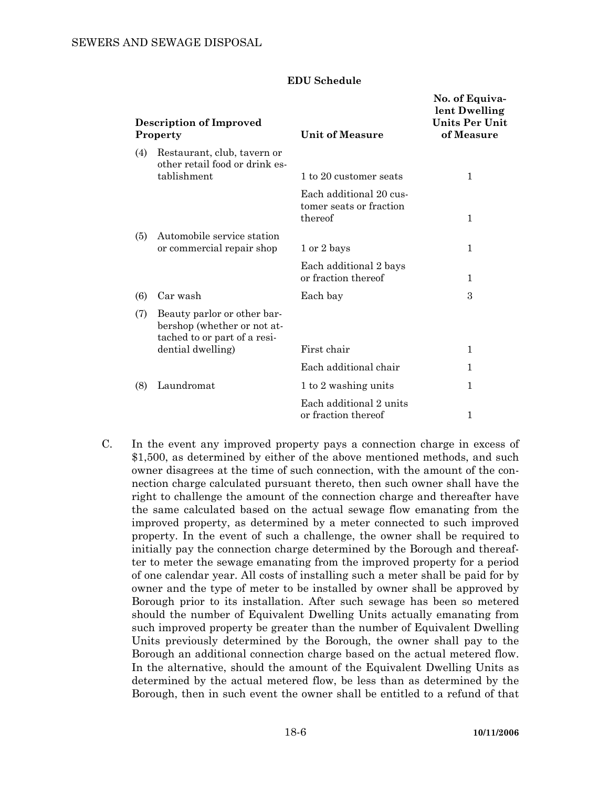#### **EDU Schedule**

| <b>Description of Improved</b><br>Property |                                                                                            | Unit of Measure                                               | No. of Equiva-<br>lent Dwelling<br><b>Units Per Unit</b><br>of Measure |
|--------------------------------------------|--------------------------------------------------------------------------------------------|---------------------------------------------------------------|------------------------------------------------------------------------|
| (4)                                        | Restaurant, club, tavern or<br>other retail food or drink es-<br>tablishment               | 1 to 20 customer seats                                        | 1                                                                      |
|                                            |                                                                                            | Each additional 20 cus-<br>tomer seats or fraction<br>thereof | 1                                                                      |
| (5)                                        | Automobile service station<br>or commercial repair shop                                    | 1 or 2 bays                                                   | 1                                                                      |
|                                            |                                                                                            | Each additional 2 bays<br>or fraction thereof                 | $\mathbf{1}$                                                           |
| (6)                                        | Car wash                                                                                   | Each bay                                                      | 3                                                                      |
| (7)                                        | Beauty parlor or other bar-<br>bershop (whether or not at-<br>tached to or part of a resi- |                                                               |                                                                        |
|                                            | dential dwelling)                                                                          | First chair                                                   | $\mathbf{1}$                                                           |
|                                            |                                                                                            | Each additional chair                                         | $\mathbf{1}$                                                           |
| (8)                                        | Laundromat                                                                                 | 1 to 2 washing units                                          | 1                                                                      |
|                                            |                                                                                            | Each additional 2 units<br>or fraction thereof                | 1                                                                      |

 C. In the event any improved property pays a connection charge in excess of \$1,500, as determined by either of the above mentioned methods, and such owner disagrees at the time of such connection, with the amount of the connection charge calculated pursuant thereto, then such owner shall have the right to challenge the amount of the connection charge and thereafter have the same calculated based on the actual sewage flow emanating from the improved property, as determined by a meter connected to such improved property. In the event of such a challenge, the owner shall be required to initially pay the connection charge determined by the Borough and thereafter to meter the sewage emanating from the improved property for a period of one calendar year. All costs of installing such a meter shall be paid for by owner and the type of meter to be installed by owner shall be approved by Borough prior to its installation. After such sewage has been so metered should the number of Equivalent Dwelling Units actually emanating from such improved property be greater than the number of Equivalent Dwelling Units previously determined by the Borough, the owner shall pay to the Borough an additional connection charge based on the actual metered flow. In the alternative, should the amount of the Equivalent Dwelling Units as determined by the actual metered flow, be less than as determined by the Borough, then in such event the owner shall be entitled to a refund of that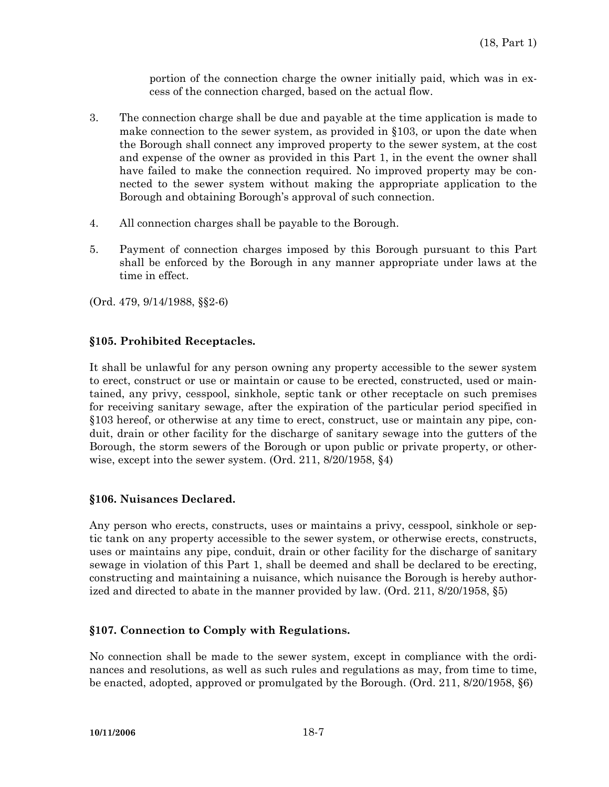portion of the connection charge the owner initially paid, which was in excess of the connection charged, based on the actual flow.

- 3. The connection charge shall be due and payable at the time application is made to make connection to the sewer system, as provided in §103, or upon the date when the Borough shall connect any improved property to the sewer system, at the cost and expense of the owner as provided in this Part 1, in the event the owner shall have failed to make the connection required. No improved property may be connected to the sewer system without making the appropriate application to the Borough and obtaining Borough's approval of such connection.
- 4. All connection charges shall be payable to the Borough.
- 5. Payment of connection charges imposed by this Borough pursuant to this Part shall be enforced by the Borough in any manner appropriate under laws at the time in effect.
- (Ord. 479, 9/14/1988, §§2-6)

# **§105. Prohibited Receptacles.**

It shall be unlawful for any person owning any property accessible to the sewer system to erect, construct or use or maintain or cause to be erected, constructed, used or maintained, any privy, cesspool, sinkhole, septic tank or other receptacle on such premises for receiving sanitary sewage, after the expiration of the particular period specified in §103 hereof, or otherwise at any time to erect, construct, use or maintain any pipe, conduit, drain or other facility for the discharge of sanitary sewage into the gutters of the Borough, the storm sewers of the Borough or upon public or private property, or otherwise, except into the sewer system. (Ord. 211, 8/20/1958, §4)

# **§106. Nuisances Declared.**

Any person who erects, constructs, uses or maintains a privy, cesspool, sinkhole or septic tank on any property accessible to the sewer system, or otherwise erects, constructs, uses or maintains any pipe, conduit, drain or other facility for the discharge of sanitary sewage in violation of this Part 1, shall be deemed and shall be declared to be erecting, constructing and maintaining a nuisance, which nuisance the Borough is hereby authorized and directed to abate in the manner provided by law. (Ord. 211, 8/20/1958, §5)

# **§107. Connection to Comply with Regulations.**

No connection shall be made to the sewer system, except in compliance with the ordinances and resolutions, as well as such rules and regulations as may, from time to time, be enacted, adopted, approved or promulgated by the Borough. (Ord. 211, 8/20/1958, §6)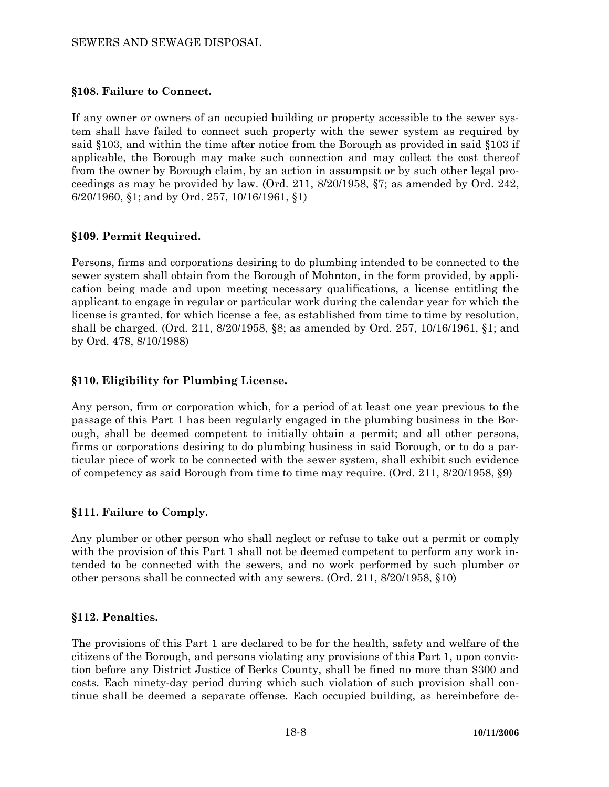### SEWERS AND SEWAGE DISPOSAL

### **§108. Failure to Connect.**

If any owner or owners of an occupied building or property accessible to the sewer system shall have failed to connect such property with the sewer system as required by said §103, and within the time after notice from the Borough as provided in said §103 if applicable, the Borough may make such connection and may collect the cost thereof from the owner by Borough claim, by an action in assumpsit or by such other legal proceedings as may be provided by law. (Ord. 211, 8/20/1958, §7; as amended by Ord. 242, 6/20/1960, §1; and by Ord. 257, 10/16/1961, §1)

### **§109. Permit Required.**

Persons, firms and corporations desiring to do plumbing intended to be connected to the sewer system shall obtain from the Borough of Mohnton, in the form provided, by application being made and upon meeting necessary qualifications, a license entitling the applicant to engage in regular or particular work during the calendar year for which the license is granted, for which license a fee, as established from time to time by resolution, shall be charged. (Ord. 211, 8/20/1958, §8; as amended by Ord. 257, 10/16/1961, §1; and by Ord. 478, 8/10/1988)

# **§110. Eligibility for Plumbing License.**

Any person, firm or corporation which, for a period of at least one year previous to the passage of this Part 1 has been regularly engaged in the plumbing business in the Borough, shall be deemed competent to initially obtain a permit; and all other persons, firms or corporations desiring to do plumbing business in said Borough, or to do a particular piece of work to be connected with the sewer system, shall exhibit such evidence of competency as said Borough from time to time may require. (Ord. 211, 8/20/1958, §9)

# **§111. Failure to Comply.**

Any plumber or other person who shall neglect or refuse to take out a permit or comply with the provision of this Part 1 shall not be deemed competent to perform any work intended to be connected with the sewers, and no work performed by such plumber or other persons shall be connected with any sewers. (Ord. 211, 8/20/1958, §10)

#### **§112. Penalties.**

The provisions of this Part 1 are declared to be for the health, safety and welfare of the citizens of the Borough, and persons violating any provisions of this Part 1, upon conviction before any District Justice of Berks County, shall be fined no more than \$300 and costs. Each ninety-day period during which such violation of such provision shall continue shall be deemed a separate offense. Each occupied building, as hereinbefore de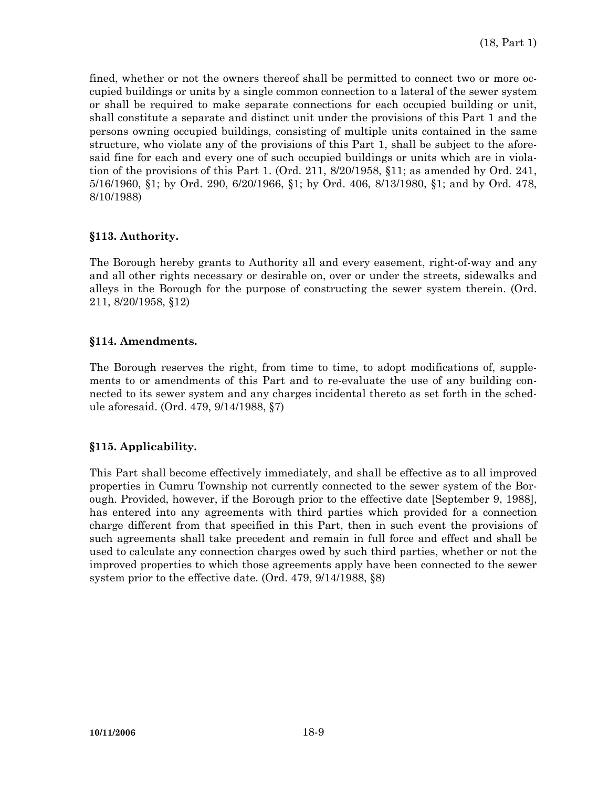fined, whether or not the owners thereof shall be permitted to connect two or more occupied buildings or units by a single common connection to a lateral of the sewer system or shall be required to make separate connections for each occupied building or unit, shall constitute a separate and distinct unit under the provisions of this Part 1 and the persons owning occupied buildings, consisting of multiple units contained in the same structure, who violate any of the provisions of this Part 1, shall be subject to the aforesaid fine for each and every one of such occupied buildings or units which are in violation of the provisions of this Part 1. (Ord. 211, 8/20/1958, §11; as amended by Ord. 241, 5/16/1960, §1; by Ord. 290, 6/20/1966, §1; by Ord. 406, 8/13/1980, §1; and by Ord. 478, 8/10/1988)

# **§113. Authority.**

The Borough hereby grants to Authority all and every easement, right-of-way and any and all other rights necessary or desirable on, over or under the streets, sidewalks and alleys in the Borough for the purpose of constructing the sewer system therein. (Ord. 211, 8/20/1958, §12)

### **§114. Amendments.**

The Borough reserves the right, from time to time, to adopt modifications of, supplements to or amendments of this Part and to re-evaluate the use of any building connected to its sewer system and any charges incidental thereto as set forth in the schedule aforesaid. (Ord. 479, 9/14/1988, §7)

# **§115. Applicability.**

This Part shall become effectively immediately, and shall be effective as to all improved properties in Cumru Township not currently connected to the sewer system of the Borough. Provided, however, if the Borough prior to the effective date [September 9, 1988], has entered into any agreements with third parties which provided for a connection charge different from that specified in this Part, then in such event the provisions of such agreements shall take precedent and remain in full force and effect and shall be used to calculate any connection charges owed by such third parties, whether or not the improved properties to which those agreements apply have been connected to the sewer system prior to the effective date. (Ord. 479, 9/14/1988, §8)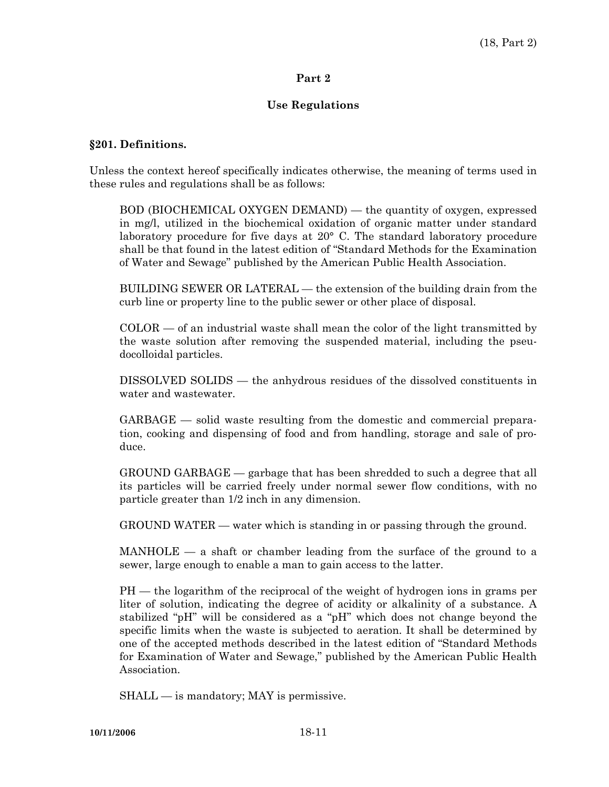### **Part 2**

# **Use Regulations**

#### **§201. Definitions.**

Unless the context hereof specifically indicates otherwise, the meaning of terms used in these rules and regulations shall be as follows:

 BOD (BIOCHEMICAL OXYGEN DEMAND) — the quantity of oxygen, expressed in mg/l, utilized in the biochemical oxidation of organic matter under standard laboratory procedure for five days at 20° C. The standard laboratory procedure shall be that found in the latest edition of "Standard Methods for the Examination of Water and Sewage" published by the American Public Health Association.

 BUILDING SEWER OR LATERAL — the extension of the building drain from the curb line or property line to the public sewer or other place of disposal.

 $COLOR$  — of an industrial waste shall mean the color of the light transmitted by the waste solution after removing the suspended material, including the pseudocolloidal particles.

 DISSOLVED SOLIDS — the anhydrous residues of the dissolved constituents in water and wastewater.

 GARBAGE — solid waste resulting from the domestic and commercial preparation, cooking and dispensing of food and from handling, storage and sale of produce.

 GROUND GARBAGE — garbage that has been shredded to such a degree that all its particles will be carried freely under normal sewer flow conditions, with no particle greater than 1/2 inch in any dimension.

GROUND WATER — water which is standing in or passing through the ground.

 $MANHOLE - a$  shaft or chamber leading from the surface of the ground to a sewer, large enough to enable a man to gain access to the latter.

 PH — the logarithm of the reciprocal of the weight of hydrogen ions in grams per liter of solution, indicating the degree of acidity or alkalinity of a substance. A stabilized "pH" will be considered as a "pH" which does not change beyond the specific limits when the waste is subjected to aeration. It shall be determined by one of the accepted methods described in the latest edition of "Standard Methods for Examination of Water and Sewage," published by the American Public Health Association.

SHALL — is mandatory; MAY is permissive.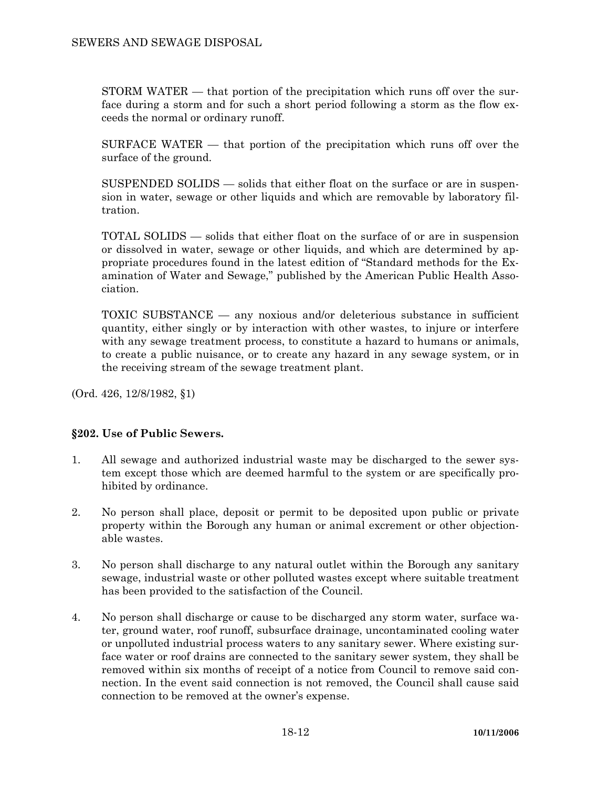STORM WATER — that portion of the precipitation which runs off over the surface during a storm and for such a short period following a storm as the flow exceeds the normal or ordinary runoff.

 SURFACE WATER — that portion of the precipitation which runs off over the surface of the ground.

 SUSPENDED SOLIDS — solids that either float on the surface or are in suspension in water, sewage or other liquids and which are removable by laboratory filtration.

 TOTAL SOLIDS — solids that either float on the surface of or are in suspension or dissolved in water, sewage or other liquids, and which are determined by appropriate procedures found in the latest edition of "Standard methods for the Examination of Water and Sewage," published by the American Public Health Association.

 TOXIC SUBSTANCE — any noxious and/or deleterious substance in sufficient quantity, either singly or by interaction with other wastes, to injure or interfere with any sewage treatment process, to constitute a hazard to humans or animals, to create a public nuisance, or to create any hazard in any sewage system, or in the receiving stream of the sewage treatment plant.

(Ord. 426, 12/8/1982, §1)

# **§202. Use of Public Sewers.**

- 1. All sewage and authorized industrial waste may be discharged to the sewer system except those which are deemed harmful to the system or are specifically prohibited by ordinance.
- 2. No person shall place, deposit or permit to be deposited upon public or private property within the Borough any human or animal excrement or other objectionable wastes.
- 3. No person shall discharge to any natural outlet within the Borough any sanitary sewage, industrial waste or other polluted wastes except where suitable treatment has been provided to the satisfaction of the Council.
- 4. No person shall discharge or cause to be discharged any storm water, surface water, ground water, roof runoff, subsurface drainage, uncontaminated cooling water or unpolluted industrial process waters to any sanitary sewer. Where existing surface water or roof drains are connected to the sanitary sewer system, they shall be removed within six months of receipt of a notice from Council to remove said connection. In the event said connection is not removed, the Council shall cause said connection to be removed at the owner's expense.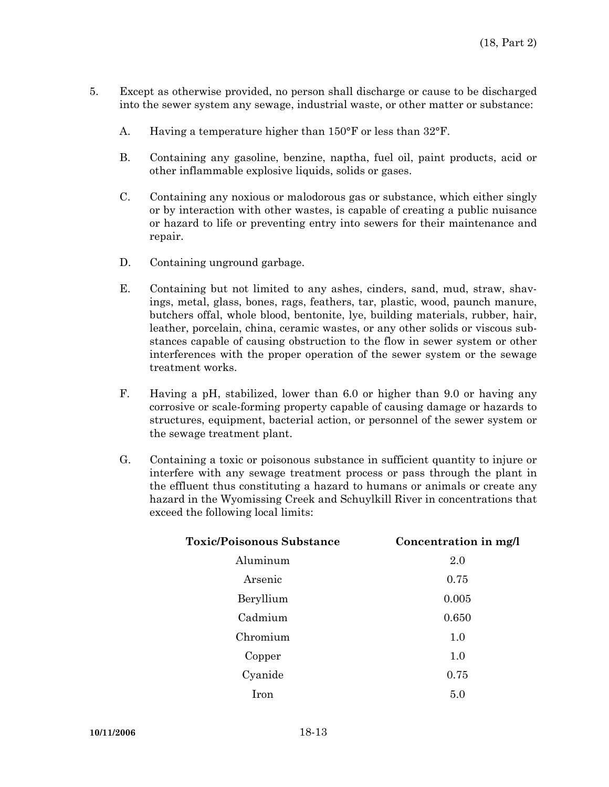- 5. Except as otherwise provided, no person shall discharge or cause to be discharged into the sewer system any sewage, industrial waste, or other matter or substance:
	- A. Having a temperature higher than 150°F or less than 32°F.
	- B. Containing any gasoline, benzine, naptha, fuel oil, paint products, acid or other inflammable explosive liquids, solids or gases.
	- C. Containing any noxious or malodorous gas or substance, which either singly or by interaction with other wastes, is capable of creating a public nuisance or hazard to life or preventing entry into sewers for their maintenance and repair.
	- D. Containing unground garbage.
	- E. Containing but not limited to any ashes, cinders, sand, mud, straw, shavings, metal, glass, bones, rags, feathers, tar, plastic, wood, paunch manure, butchers offal, whole blood, bentonite, lye, building materials, rubber, hair, leather, porcelain, china, ceramic wastes, or any other solids or viscous substances capable of causing obstruction to the flow in sewer system or other interferences with the proper operation of the sewer system or the sewage treatment works.
	- F. Having a pH, stabilized, lower than 6.0 or higher than 9.0 or having any corrosive or scale-forming property capable of causing damage or hazards to structures, equipment, bacterial action, or personnel of the sewer system or the sewage treatment plant.
	- G. Containing a toxic or poisonous substance in sufficient quantity to injure or interfere with any sewage treatment process or pass through the plant in the effluent thus constituting a hazard to humans or animals or create any hazard in the Wyomissing Creek and Schuylkill River in concentrations that exceed the following local limits:

| <b>Toxic/Poisonous Substance</b> | Concentration in mg/l |  |  |
|----------------------------------|-----------------------|--|--|
| Aluminum                         | 2.0                   |  |  |
| Arsenic                          | 0.75                  |  |  |
| Beryllium                        | 0.005                 |  |  |
| Cadmium                          | 0.650                 |  |  |
| Chromium                         | 1.0                   |  |  |
| Copper                           | 1.0                   |  |  |
| Cyanide                          | 0.75                  |  |  |
| Iron                             | 5.0                   |  |  |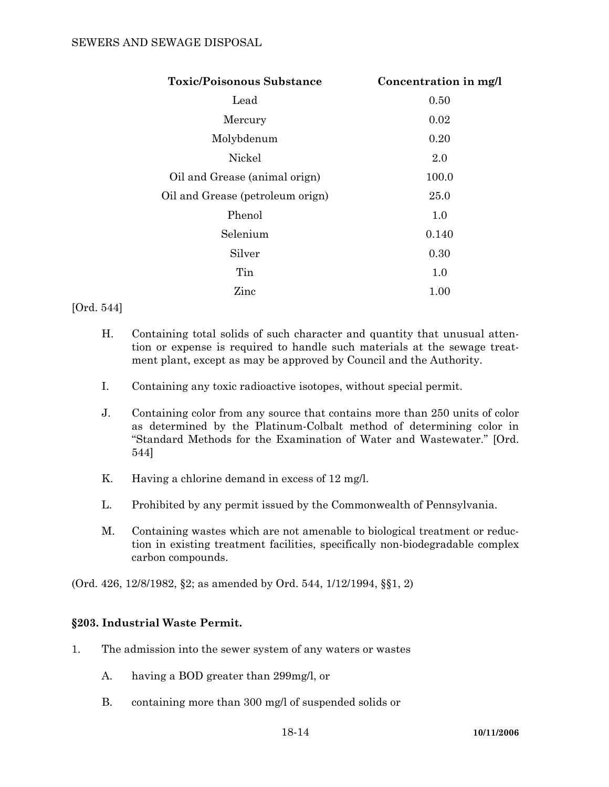### SEWERS AND SEWAGE DISPOSAL

| <b>Toxic/Poisonous Substance</b> | Concentration in mg/l |
|----------------------------------|-----------------------|
| Lead                             | 0.50                  |
| Mercury                          | 0.02                  |
| Molybdenum                       | 0.20                  |
| Nickel                           | 2.0                   |
| Oil and Grease (animal orign)    | 100.0                 |
| Oil and Grease (petroleum orign) | 25.0                  |
| Phenol                           | 1.0                   |
| Selenium                         | 0.140                 |
| Silver                           | 0.30                  |
| Tin                              | 1.0                   |
| Zinc                             | $1.00\,$              |

#### [Ord. 544]

- H. Containing total solids of such character and quantity that unusual attention or expense is required to handle such materials at the sewage treatment plant, except as may be approved by Council and the Authority.
- I. Containing any toxic radioactive isotopes, without special permit.
- J. Containing color from any source that contains more than 250 units of color as determined by the Platinum-Colbalt method of determining color in "Standard Methods for the Examination of Water and Wastewater." [Ord. 544]
- K. Having a chlorine demand in excess of 12 mg/l.
- L. Prohibited by any permit issued by the Commonwealth of Pennsylvania.
- M. Containing wastes which are not amenable to biological treatment or reduction in existing treatment facilities, specifically non-biodegradable complex carbon compounds.

(Ord. 426, 12/8/1982, §2; as amended by Ord. 544, 1/12/1994, §§1, 2)

# **§203. Industrial Waste Permit.**

- 1. The admission into the sewer system of any waters or wastes
	- A. having a BOD greater than 299mg/l, or
	- B. containing more than 300 mg/l of suspended solids or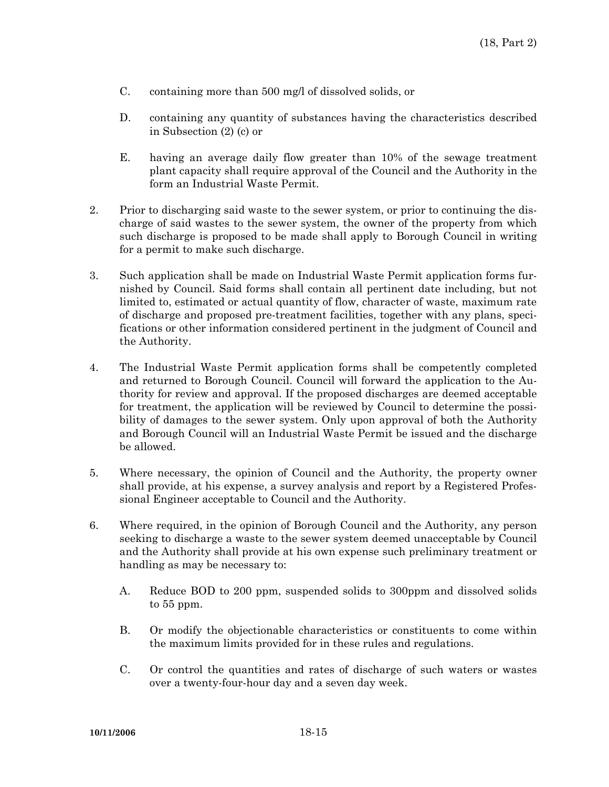- C. containing more than 500 mg/l of dissolved solids, or
- D. containing any quantity of substances having the characteristics described in Subsection (2) (c) or
- E. having an average daily flow greater than 10% of the sewage treatment plant capacity shall require approval of the Council and the Authority in the form an Industrial Waste Permit.
- 2. Prior to discharging said waste to the sewer system, or prior to continuing the discharge of said wastes to the sewer system, the owner of the property from which such discharge is proposed to be made shall apply to Borough Council in writing for a permit to make such discharge.
- 3. Such application shall be made on Industrial Waste Permit application forms furnished by Council. Said forms shall contain all pertinent date including, but not limited to, estimated or actual quantity of flow, character of waste, maximum rate of discharge and proposed pre-treatment facilities, together with any plans, specifications or other information considered pertinent in the judgment of Council and the Authority.
- 4. The Industrial Waste Permit application forms shall be competently completed and returned to Borough Council. Council will forward the application to the Authority for review and approval. If the proposed discharges are deemed acceptable for treatment, the application will be reviewed by Council to determine the possibility of damages to the sewer system. Only upon approval of both the Authority and Borough Council will an Industrial Waste Permit be issued and the discharge be allowed.
- 5. Where necessary, the opinion of Council and the Authority, the property owner shall provide, at his expense, a survey analysis and report by a Registered Professional Engineer acceptable to Council and the Authority.
- 6. Where required, in the opinion of Borough Council and the Authority, any person seeking to discharge a waste to the sewer system deemed unacceptable by Council and the Authority shall provide at his own expense such preliminary treatment or handling as may be necessary to:
	- A. Reduce BOD to 200 ppm, suspended solids to 300ppm and dissolved solids to 55 ppm.
	- B. Or modify the objectionable characteristics or constituents to come within the maximum limits provided for in these rules and regulations.
	- C. Or control the quantities and rates of discharge of such waters or wastes over a twenty-four-hour day and a seven day week.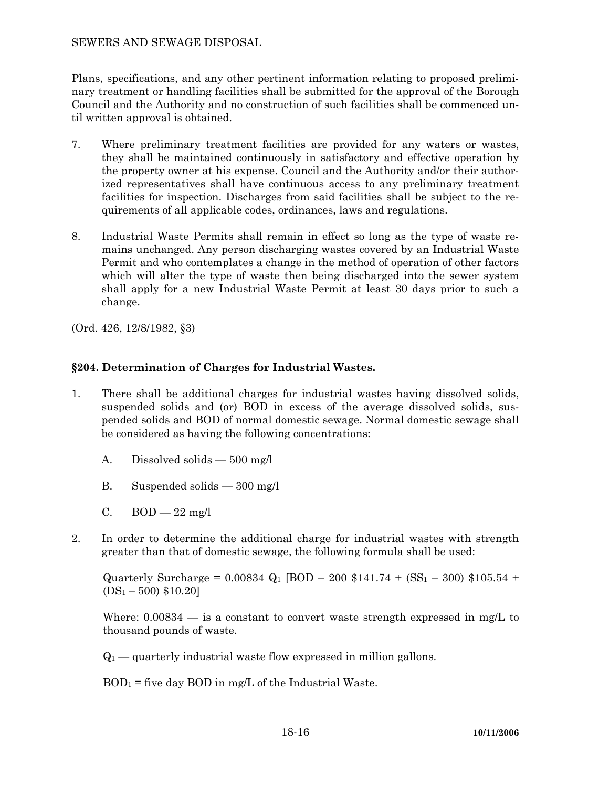### SEWERS AND SEWAGE DISPOSAL

Plans, specifications, and any other pertinent information relating to proposed preliminary treatment or handling facilities shall be submitted for the approval of the Borough Council and the Authority and no construction of such facilities shall be commenced until written approval is obtained.

- 7. Where preliminary treatment facilities are provided for any waters or wastes, they shall be maintained continuously in satisfactory and effective operation by the property owner at his expense. Council and the Authority and/or their authorized representatives shall have continuous access to any preliminary treatment facilities for inspection. Discharges from said facilities shall be subject to the requirements of all applicable codes, ordinances, laws and regulations.
- 8. Industrial Waste Permits shall remain in effect so long as the type of waste remains unchanged. Any person discharging wastes covered by an Industrial Waste Permit and who contemplates a change in the method of operation of other factors which will alter the type of waste then being discharged into the sewer system shall apply for a new Industrial Waste Permit at least 30 days prior to such a change.

(Ord. 426, 12/8/1982, §3)

# **§204. Determination of Charges for Industrial Wastes.**

- 1. There shall be additional charges for industrial wastes having dissolved solids, suspended solids and (or) BOD in excess of the average dissolved solids, suspended solids and BOD of normal domestic sewage. Normal domestic sewage shall be considered as having the following concentrations:
	- A. Dissolved solids 500 mg/l
	- B. Suspended solids 300 mg/l
	- C.  $BOD 22$  mg/l
- 2. In order to determine the additional charge for industrial wastes with strength greater than that of domestic sewage, the following formula shall be used:

Quarterly Surcharge =  $0.00834$  Q<sub>1</sub> [BOD – 200 \$141.74 + (SS<sub>1</sub> – 300) \$105.54 +  $(DS_1 - 500)$  \$10.20]

Where:  $0.00834$  — is a constant to convert waste strength expressed in mg/L to thousand pounds of waste.

 $Q_1$  — quarterly industrial waste flow expressed in million gallons.

 $BOD<sub>1</sub>$  = five day  $BOD$  in mg/L of the Industrial Waste.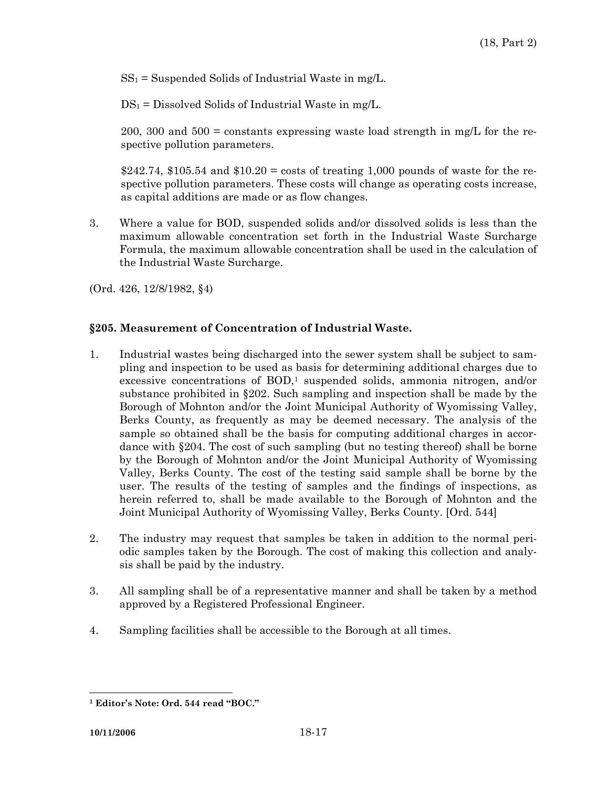$SS_1$  = Suspended Solids of Industrial Waste in mg/L.

 $DS_1 = Dissolved$  Solids of Industrial Waste in mg/L.

200, 300 and  $500 = \text{constants}$  expressing waste load strength in mg/L for the respective pollution parameters.

\$242.74, \$105.54 and \$10.20 = costs of treating 1,000 pounds of waste for the respective pollution parameters. These costs will change as operating costs increase, as capital additions are made or as flow changes.

3. Where a value for BOD, suspended solids and/or dissolved solids is less than the maximum allowable concentration set forth in the Industrial Waste Surcharge Formula, the maximum allowable concentration shall be used in the calculation of the Industrial Waste Surcharge.

(Ord. 426, 12/8/1982, §4)

# **§205. Measurement of Concentration of Industrial Waste.**

- 1. Industrial wastes being discharged into the sewer system shall be subject to sampling and inspection to be used as basis for determining additional charges due to excessive concentrations of  $BOD$ ,<sup>1</sup> suspended solids, ammonia nitrogen, and/or substance prohibited in §202. Such sampling and inspection shall be made by the Borough of Mohnton and/or the Joint Municipal Authority of Wyomissing Valley, Berks County, as frequently as may be deemed necessary. The analysis of the sample so obtained shall be the basis for computing additional charges in accordance with §204. The cost of such sampling (but no testing thereof) shall be borne by the Borough of Mohnton and/or the Joint Municipal Authority of Wyomissing Valley, Berks County. The cost of the testing said sample shall be borne by the user. The results of the testing of samples and the findings of inspections, as herein referred to, shall be made available to the Borough of Mohnton and the Joint Municipal Authority of Wyomissing Valley, Berks County. [Ord. 544]
- 2. The industry may request that samples be taken in addition to the normal periodic samples taken by the Borough. The cost of making this collection and analysis shall be paid by the industry.
- 3. All sampling shall be of a representative manner and shall be taken by a method approved by a Registered Professional Engineer.
- 4. Sampling facilities shall be accessible to the Borough at all times.

 $\overline{a}$ **1 Editor's Note: Ord. 544 read "BOC."**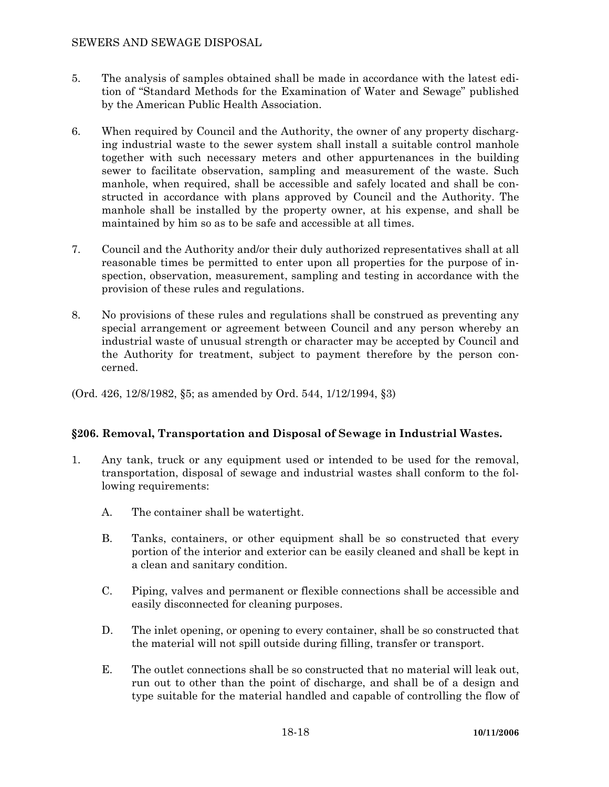# SEWERS AND SEWAGE DISPOSAL

- 5. The analysis of samples obtained shall be made in accordance with the latest edition of "Standard Methods for the Examination of Water and Sewage" published by the American Public Health Association.
- 6. When required by Council and the Authority, the owner of any property discharging industrial waste to the sewer system shall install a suitable control manhole together with such necessary meters and other appurtenances in the building sewer to facilitate observation, sampling and measurement of the waste. Such manhole, when required, shall be accessible and safely located and shall be constructed in accordance with plans approved by Council and the Authority. The manhole shall be installed by the property owner, at his expense, and shall be maintained by him so as to be safe and accessible at all times.
- 7. Council and the Authority and/or their duly authorized representatives shall at all reasonable times be permitted to enter upon all properties for the purpose of inspection, observation, measurement, sampling and testing in accordance with the provision of these rules and regulations.
- 8. No provisions of these rules and regulations shall be construed as preventing any special arrangement or agreement between Council and any person whereby an industrial waste of unusual strength or character may be accepted by Council and the Authority for treatment, subject to payment therefore by the person concerned.
- (Ord. 426, 12/8/1982, §5; as amended by Ord. 544, 1/12/1994, §3)

# **§206. Removal, Transportation and Disposal of Sewage in Industrial Wastes.**

- 1. Any tank, truck or any equipment used or intended to be used for the removal, transportation, disposal of sewage and industrial wastes shall conform to the following requirements:
	- A. The container shall be watertight.
	- B. Tanks, containers, or other equipment shall be so constructed that every portion of the interior and exterior can be easily cleaned and shall be kept in a clean and sanitary condition.
	- C. Piping, valves and permanent or flexible connections shall be accessible and easily disconnected for cleaning purposes.
	- D. The inlet opening, or opening to every container, shall be so constructed that the material will not spill outside during filling, transfer or transport.
	- E. The outlet connections shall be so constructed that no material will leak out, run out to other than the point of discharge, and shall be of a design and type suitable for the material handled and capable of controlling the flow of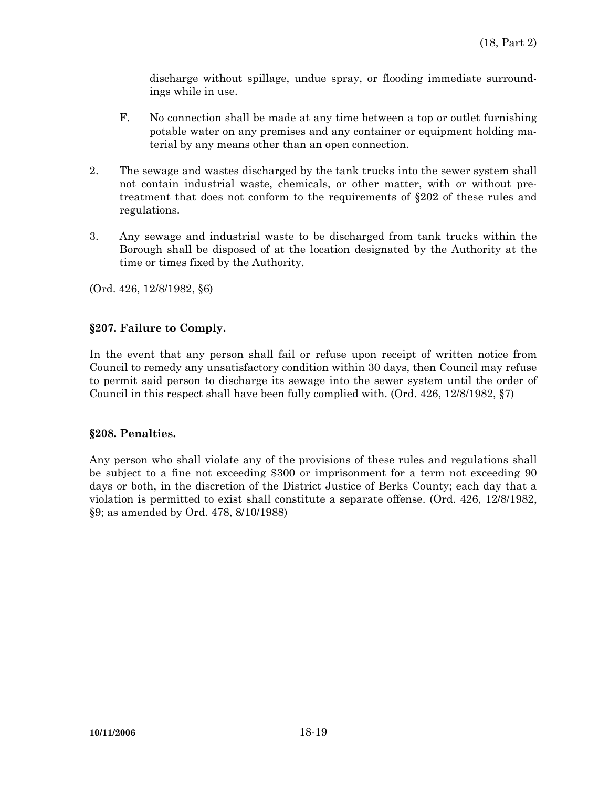discharge without spillage, undue spray, or flooding immediate surroundings while in use.

- F. No connection shall be made at any time between a top or outlet furnishing potable water on any premises and any container or equipment holding material by any means other than an open connection.
- 2. The sewage and wastes discharged by the tank trucks into the sewer system shall not contain industrial waste, chemicals, or other matter, with or without pretreatment that does not conform to the requirements of §202 of these rules and regulations.
- 3. Any sewage and industrial waste to be discharged from tank trucks within the Borough shall be disposed of at the location designated by the Authority at the time or times fixed by the Authority.

(Ord. 426, 12/8/1982, §6)

# **§207. Failure to Comply.**

In the event that any person shall fail or refuse upon receipt of written notice from Council to remedy any unsatisfactory condition within 30 days, then Council may refuse to permit said person to discharge its sewage into the sewer system until the order of Council in this respect shall have been fully complied with. (Ord. 426, 12/8/1982, §7)

#### **§208. Penalties.**

Any person who shall violate any of the provisions of these rules and regulations shall be subject to a fine not exceeding \$300 or imprisonment for a term not exceeding 90 days or both, in the discretion of the District Justice of Berks County; each day that a violation is permitted to exist shall constitute a separate offense. (Ord. 426, 12/8/1982, §9; as amended by Ord. 478, 8/10/1988)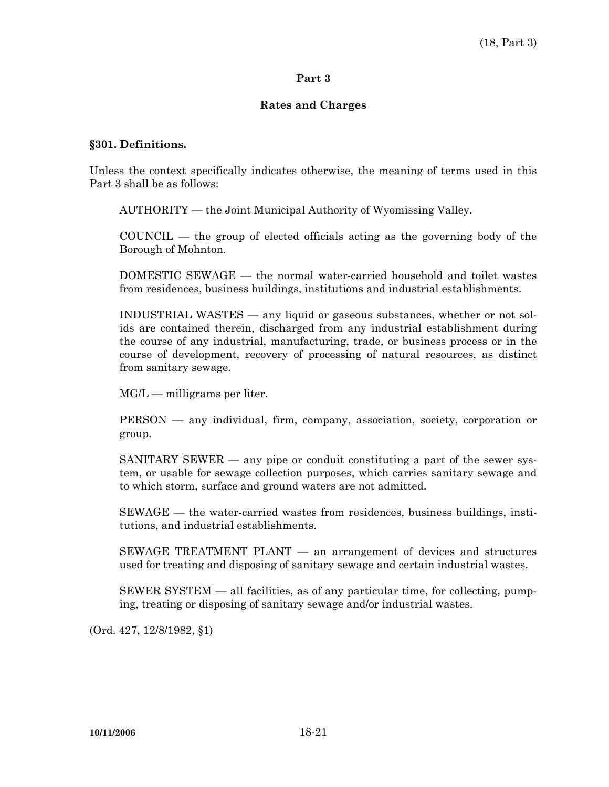#### **Part 3**

#### **Rates and Charges**

#### **§301. Definitions.**

Unless the context specifically indicates otherwise, the meaning of terms used in this Part 3 shall be as follows:

AUTHORITY — the Joint Municipal Authority of Wyomissing Valley.

 COUNCIL — the group of elected officials acting as the governing body of the Borough of Mohnton.

 DOMESTIC SEWAGE — the normal water-carried household and toilet wastes from residences, business buildings, institutions and industrial establishments.

 INDUSTRIAL WASTES — any liquid or gaseous substances, whether or not solids are contained therein, discharged from any industrial establishment during the course of any industrial, manufacturing, trade, or business process or in the course of development, recovery of processing of natural resources, as distinct from sanitary sewage.

MG/L — milligrams per liter.

 PERSON — any individual, firm, company, association, society, corporation or group.

 SANITARY SEWER — any pipe or conduit constituting a part of the sewer system, or usable for sewage collection purposes, which carries sanitary sewage and to which storm, surface and ground waters are not admitted.

 SEWAGE — the water-carried wastes from residences, business buildings, institutions, and industrial establishments.

 SEWAGE TREATMENT PLANT — an arrangement of devices and structures used for treating and disposing of sanitary sewage and certain industrial wastes.

 SEWER SYSTEM — all facilities, as of any particular time, for collecting, pumping, treating or disposing of sanitary sewage and/or industrial wastes.

(Ord. 427, 12/8/1982, §1)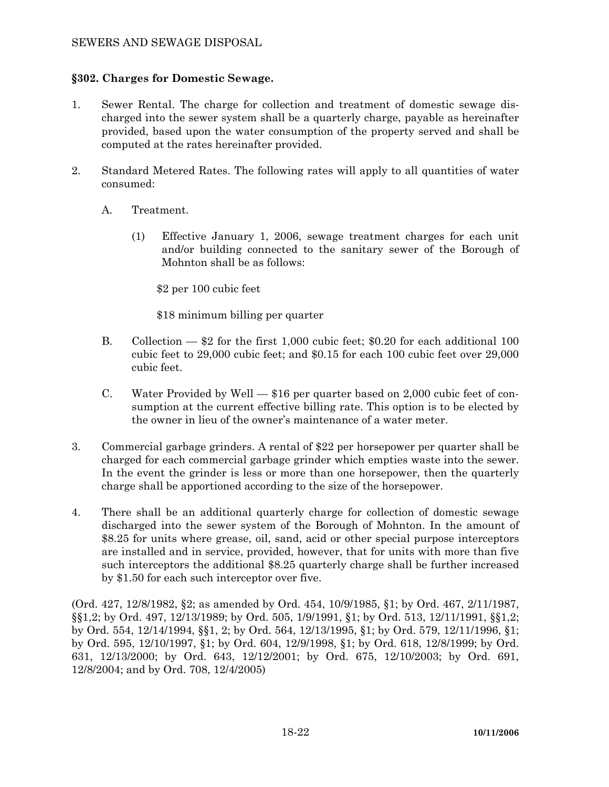# **§302. Charges for Domestic Sewage.**

- 1. Sewer Rental. The charge for collection and treatment of domestic sewage discharged into the sewer system shall be a quarterly charge, payable as hereinafter provided, based upon the water consumption of the property served and shall be computed at the rates hereinafter provided.
- 2. Standard Metered Rates. The following rates will apply to all quantities of water consumed:
	- A. Treatment.
		- (1) Effective January 1, 2006, sewage treatment charges for each unit and/or building connected to the sanitary sewer of the Borough of Mohnton shall be as follows:

\$2 per 100 cubic feet

\$18 minimum billing per quarter

- B. Collection \$2 for the first 1,000 cubic feet; \$0.20 for each additional 100 cubic feet to 29,000 cubic feet; and \$0.15 for each 100 cubic feet over 29,000 cubic feet.
- C. Water Provided by Well \$16 per quarter based on 2,000 cubic feet of consumption at the current effective billing rate. This option is to be elected by the owner in lieu of the owner's maintenance of a water meter.
- 3. Commercial garbage grinders. A rental of \$22 per horsepower per quarter shall be charged for each commercial garbage grinder which empties waste into the sewer. In the event the grinder is less or more than one horsepower, then the quarterly charge shall be apportioned according to the size of the horsepower.
- 4. There shall be an additional quarterly charge for collection of domestic sewage discharged into the sewer system of the Borough of Mohnton. In the amount of \$8.25 for units where grease, oil, sand, acid or other special purpose interceptors are installed and in service, provided, however, that for units with more than five such interceptors the additional \$8.25 quarterly charge shall be further increased by \$1.50 for each such interceptor over five.

(Ord. 427, 12/8/1982, §2; as amended by Ord. 454, 10/9/1985, §1; by Ord. 467, 2/11/1987, §§1,2; by Ord. 497, 12/13/1989; by Ord. 505, 1/9/1991, §1; by Ord. 513, 12/11/1991, §§1,2; by Ord. 554, 12/14/1994, §§1, 2; by Ord. 564, 12/13/1995, §1; by Ord. 579, 12/11/1996, §1; by Ord. 595, 12/10/1997, §1; by Ord. 604, 12/9/1998, §1; by Ord. 618, 12/8/1999; by Ord. 631, 12/13/2000; by Ord. 643, 12/12/2001; by Ord. 675, 12/10/2003; by Ord. 691, 12/8/2004; and by Ord. 708, 12/4/2005)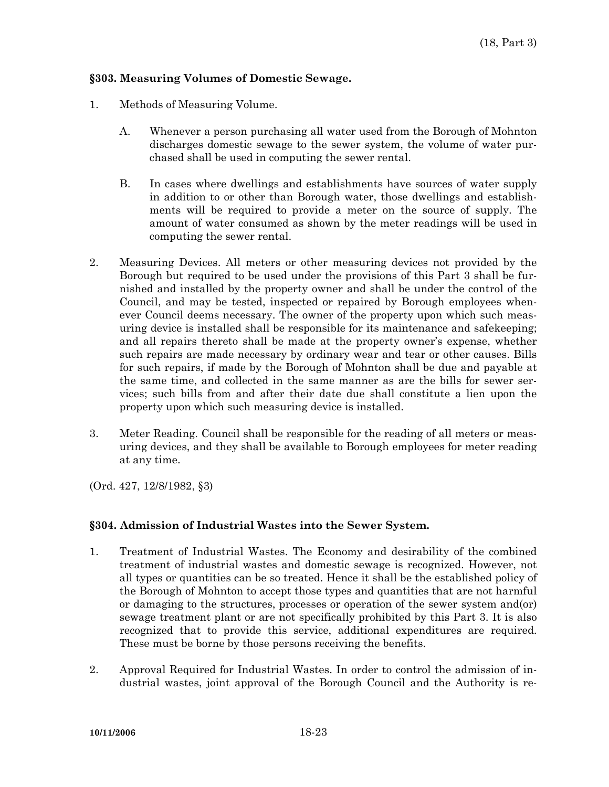### **§303. Measuring Volumes of Domestic Sewage.**

- 1. Methods of Measuring Volume.
	- A. Whenever a person purchasing all water used from the Borough of Mohnton discharges domestic sewage to the sewer system, the volume of water purchased shall be used in computing the sewer rental.
	- B. In cases where dwellings and establishments have sources of water supply in addition to or other than Borough water, those dwellings and establishments will be required to provide a meter on the source of supply. The amount of water consumed as shown by the meter readings will be used in computing the sewer rental.
- 2. Measuring Devices. All meters or other measuring devices not provided by the Borough but required to be used under the provisions of this Part 3 shall be furnished and installed by the property owner and shall be under the control of the Council, and may be tested, inspected or repaired by Borough employees whenever Council deems necessary. The owner of the property upon which such measuring device is installed shall be responsible for its maintenance and safekeeping; and all repairs thereto shall be made at the property owner's expense, whether such repairs are made necessary by ordinary wear and tear or other causes. Bills for such repairs, if made by the Borough of Mohnton shall be due and payable at the same time, and collected in the same manner as are the bills for sewer services; such bills from and after their date due shall constitute a lien upon the property upon which such measuring device is installed.
- 3. Meter Reading. Council shall be responsible for the reading of all meters or measuring devices, and they shall be available to Borough employees for meter reading at any time.

(Ord. 427, 12/8/1982, §3)

#### **§304. Admission of Industrial Wastes into the Sewer System.**

- 1. Treatment of Industrial Wastes. The Economy and desirability of the combined treatment of industrial wastes and domestic sewage is recognized. However, not all types or quantities can be so treated. Hence it shall be the established policy of the Borough of Mohnton to accept those types and quantities that are not harmful or damaging to the structures, processes or operation of the sewer system and(or) sewage treatment plant or are not specifically prohibited by this Part 3. It is also recognized that to provide this service, additional expenditures are required. These must be borne by those persons receiving the benefits.
- 2. Approval Required for Industrial Wastes. In order to control the admission of industrial wastes, joint approval of the Borough Council and the Authority is re-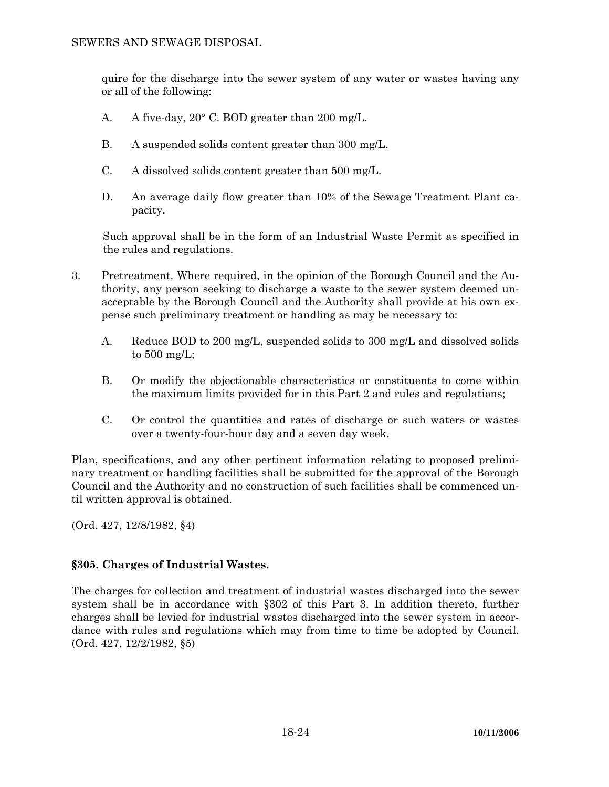quire for the discharge into the sewer system of any water or wastes having any or all of the following:

- A. A five-day, 20° C. BOD greater than 200 mg/L.
- B. A suspended solids content greater than 300 mg/L.
- C. A dissolved solids content greater than 500 mg/L.
- D. An average daily flow greater than 10% of the Sewage Treatment Plant capacity.

Such approval shall be in the form of an Industrial Waste Permit as specified in the rules and regulations.

- 3. Pretreatment. Where required, in the opinion of the Borough Council and the Authority, any person seeking to discharge a waste to the sewer system deemed unacceptable by the Borough Council and the Authority shall provide at his own expense such preliminary treatment or handling as may be necessary to:
	- A. Reduce BOD to 200 mg/L, suspended solids to 300 mg/L and dissolved solids to 500 mg/L;
	- B. Or modify the objectionable characteristics or constituents to come within the maximum limits provided for in this Part 2 and rules and regulations;
	- C. Or control the quantities and rates of discharge or such waters or wastes over a twenty-four-hour day and a seven day week.

Plan, specifications, and any other pertinent information relating to proposed preliminary treatment or handling facilities shall be submitted for the approval of the Borough Council and the Authority and no construction of such facilities shall be commenced until written approval is obtained.

(Ord. 427, 12/8/1982, §4)

# **§305. Charges of Industrial Wastes.**

The charges for collection and treatment of industrial wastes discharged into the sewer system shall be in accordance with §302 of this Part 3. In addition thereto, further charges shall be levied for industrial wastes discharged into the sewer system in accordance with rules and regulations which may from time to time be adopted by Council. (Ord. 427, 12/2/1982, §5)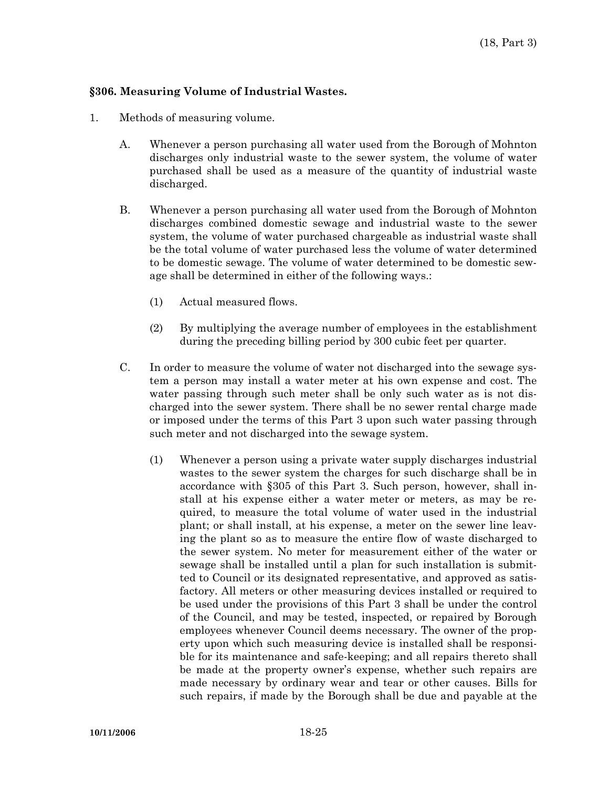### **§306. Measuring Volume of Industrial Wastes.**

- 1. Methods of measuring volume.
	- A. Whenever a person purchasing all water used from the Borough of Mohnton discharges only industrial waste to the sewer system, the volume of water purchased shall be used as a measure of the quantity of industrial waste discharged.
	- B. Whenever a person purchasing all water used from the Borough of Mohnton discharges combined domestic sewage and industrial waste to the sewer system, the volume of water purchased chargeable as industrial waste shall be the total volume of water purchased less the volume of water determined to be domestic sewage. The volume of water determined to be domestic sewage shall be determined in either of the following ways.:
		- (1) Actual measured flows.
		- (2) By multiplying the average number of employees in the establishment during the preceding billing period by 300 cubic feet per quarter.
	- C. In order to measure the volume of water not discharged into the sewage system a person may install a water meter at his own expense and cost. The water passing through such meter shall be only such water as is not discharged into the sewer system. There shall be no sewer rental charge made or imposed under the terms of this Part 3 upon such water passing through such meter and not discharged into the sewage system.
		- (1) Whenever a person using a private water supply discharges industrial wastes to the sewer system the charges for such discharge shall be in accordance with §305 of this Part 3. Such person, however, shall install at his expense either a water meter or meters, as may be required, to measure the total volume of water used in the industrial plant; or shall install, at his expense, a meter on the sewer line leaving the plant so as to measure the entire flow of waste discharged to the sewer system. No meter for measurement either of the water or sewage shall be installed until a plan for such installation is submitted to Council or its designated representative, and approved as satisfactory. All meters or other measuring devices installed or required to be used under the provisions of this Part 3 shall be under the control of the Council, and may be tested, inspected, or repaired by Borough employees whenever Council deems necessary. The owner of the property upon which such measuring device is installed shall be responsible for its maintenance and safe-keeping; and all repairs thereto shall be made at the property owner's expense, whether such repairs are made necessary by ordinary wear and tear or other causes. Bills for such repairs, if made by the Borough shall be due and payable at the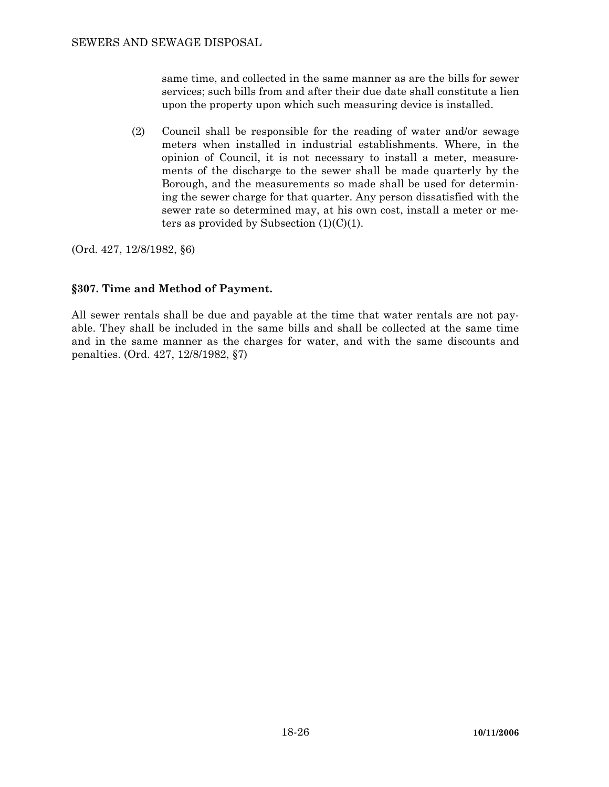same time, and collected in the same manner as are the bills for sewer services; such bills from and after their due date shall constitute a lien upon the property upon which such measuring device is installed.

 (2) Council shall be responsible for the reading of water and/or sewage meters when installed in industrial establishments. Where, in the opinion of Council, it is not necessary to install a meter, measurements of the discharge to the sewer shall be made quarterly by the Borough, and the measurements so made shall be used for determining the sewer charge for that quarter. Any person dissatisfied with the sewer rate so determined may, at his own cost, install a meter or meters as provided by Subsection  $(1)(C)(1)$ .

(Ord. 427, 12/8/1982, §6)

# **§307. Time and Method of Payment.**

All sewer rentals shall be due and payable at the time that water rentals are not payable. They shall be included in the same bills and shall be collected at the same time and in the same manner as the charges for water, and with the same discounts and penalties. (Ord. 427, 12/8/1982, §7)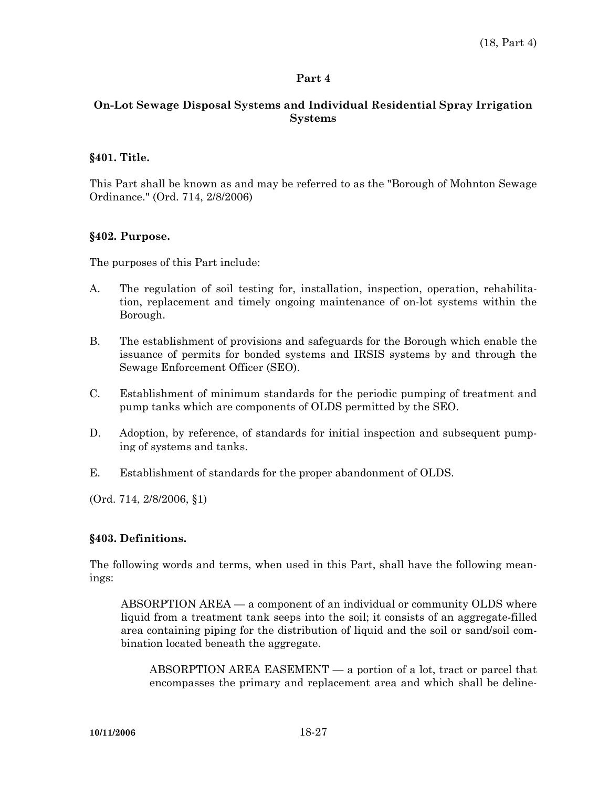### **Part 4**

# **On-Lot Sewage Disposal Systems and Individual Residential Spray Irrigation Systems**

### **§401. Title.**

This Part shall be known as and may be referred to as the "Borough of Mohnton Sewage Ordinance." (Ord. 714, 2/8/2006)

### **§402. Purpose.**

The purposes of this Part include:

- A. The regulation of soil testing for, installation, inspection, operation, rehabilitation, replacement and timely ongoing maintenance of on-lot systems within the Borough.
- B. The establishment of provisions and safeguards for the Borough which enable the issuance of permits for bonded systems and IRSIS systems by and through the Sewage Enforcement Officer (SEO).
- C. Establishment of minimum standards for the periodic pumping of treatment and pump tanks which are components of OLDS permitted by the SEO.
- D. Adoption, by reference, of standards for initial inspection and subsequent pumping of systems and tanks.
- E. Establishment of standards for the proper abandonment of OLDS.

(Ord. 714, 2/8/2006, §1)

# **§403. Definitions.**

The following words and terms, when used in this Part, shall have the following meanings:

 ABSORPTION AREA — a component of an individual or community OLDS where liquid from a treatment tank seeps into the soil; it consists of an aggregate-filled area containing piping for the distribution of liquid and the soil or sand/soil combination located beneath the aggregate.

 ABSORPTION AREA EASEMENT — a portion of a lot, tract or parcel that encompasses the primary and replacement area and which shall be deline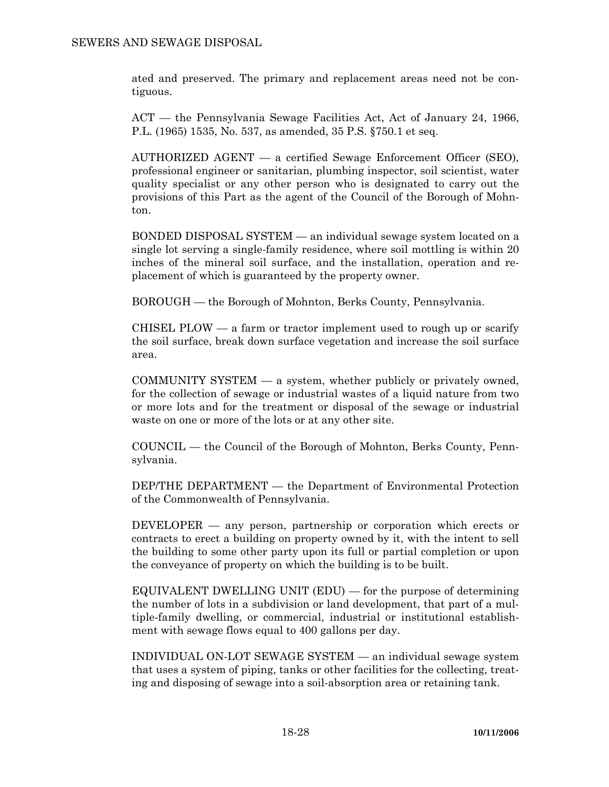ated and preserved. The primary and replacement areas need not be contiguous.

 ACT — the Pennsylvania Sewage Facilities Act, Act of January 24, 1966, P.L. (1965) 1535, No. 537, as amended, 35 P.S. §750.1 et seq.

 AUTHORIZED AGENT — a certified Sewage Enforcement Officer (SEO), professional engineer or sanitarian, plumbing inspector, soil scientist, water quality specialist or any other person who is designated to carry out the provisions of this Part as the agent of the Council of the Borough of Mohnton.

 BONDED DISPOSAL SYSTEM — an individual sewage system located on a single lot serving a single-family residence, where soil mottling is within 20 inches of the mineral soil surface, and the installation, operation and replacement of which is guaranteed by the property owner.

BOROUGH — the Borough of Mohnton, Berks County, Pennsylvania.

CHISEL PLOW  $-$  a farm or tractor implement used to rough up or scarify the soil surface, break down surface vegetation and increase the soil surface area.

 COMMUNITY SYSTEM — a system, whether publicly or privately owned, for the collection of sewage or industrial wastes of a liquid nature from two or more lots and for the treatment or disposal of the sewage or industrial waste on one or more of the lots or at any other site.

 COUNCIL — the Council of the Borough of Mohnton, Berks County, Pennsylvania.

 DEP/THE DEPARTMENT — the Department of Environmental Protection of the Commonwealth of Pennsylvania.

 DEVELOPER — any person, partnership or corporation which erects or contracts to erect a building on property owned by it, with the intent to sell the building to some other party upon its full or partial completion or upon the conveyance of property on which the building is to be built.

 EQUIVALENT DWELLING UNIT (EDU) — for the purpose of determining the number of lots in a subdivision or land development, that part of a multiple-family dwelling, or commercial, industrial or institutional establishment with sewage flows equal to 400 gallons per day.

 INDIVIDUAL ON-LOT SEWAGE SYSTEM — an individual sewage system that uses a system of piping, tanks or other facilities for the collecting, treating and disposing of sewage into a soil-absorption area or retaining tank.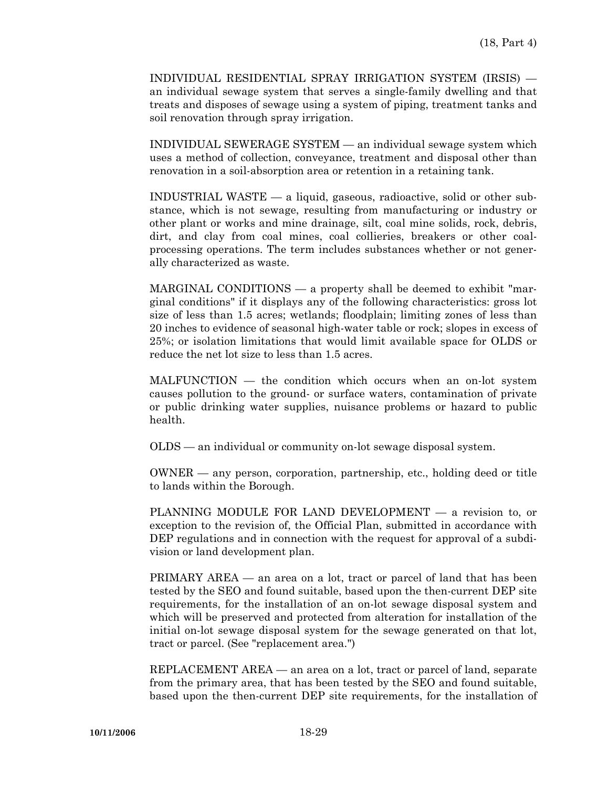INDIVIDUAL RESIDENTIAL SPRAY IRRIGATION SYSTEM (IRSIS) an individual sewage system that serves a single-family dwelling and that treats and disposes of sewage using a system of piping, treatment tanks and soil renovation through spray irrigation.

 INDIVIDUAL SEWERAGE SYSTEM — an individual sewage system which uses a method of collection, conveyance, treatment and disposal other than renovation in a soil-absorption area or retention in a retaining tank.

 INDUSTRIAL WASTE — a liquid, gaseous, radioactive, solid or other substance, which is not sewage, resulting from manufacturing or industry or other plant or works and mine drainage, silt, coal mine solids, rock, debris, dirt, and clay from coal mines, coal collieries, breakers or other coalprocessing operations. The term includes substances whether or not generally characterized as waste.

 MARGINAL CONDITIONS — a property shall be deemed to exhibit "marginal conditions" if it displays any of the following characteristics: gross lot size of less than 1.5 acres; wetlands; floodplain; limiting zones of less than 20 inches to evidence of seasonal high-water table or rock; slopes in excess of 25%; or isolation limitations that would limit available space for OLDS or reduce the net lot size to less than 1.5 acres.

 MALFUNCTION — the condition which occurs when an on-lot system causes pollution to the ground- or surface waters, contamination of private or public drinking water supplies, nuisance problems or hazard to public health.

OLDS — an individual or community on-lot sewage disposal system.

 OWNER — any person, corporation, partnership, etc., holding deed or title to lands within the Borough.

 PLANNING MODULE FOR LAND DEVELOPMENT — a revision to, or exception to the revision of, the Official Plan, submitted in accordance with DEP regulations and in connection with the request for approval of a subdivision or land development plan.

 PRIMARY AREA — an area on a lot, tract or parcel of land that has been tested by the SEO and found suitable, based upon the then-current DEP site requirements, for the installation of an on-lot sewage disposal system and which will be preserved and protected from alteration for installation of the initial on-lot sewage disposal system for the sewage generated on that lot, tract or parcel. (See "replacement area.")

 REPLACEMENT AREA — an area on a lot, tract or parcel of land, separate from the primary area, that has been tested by the SEO and found suitable, based upon the then-current DEP site requirements, for the installation of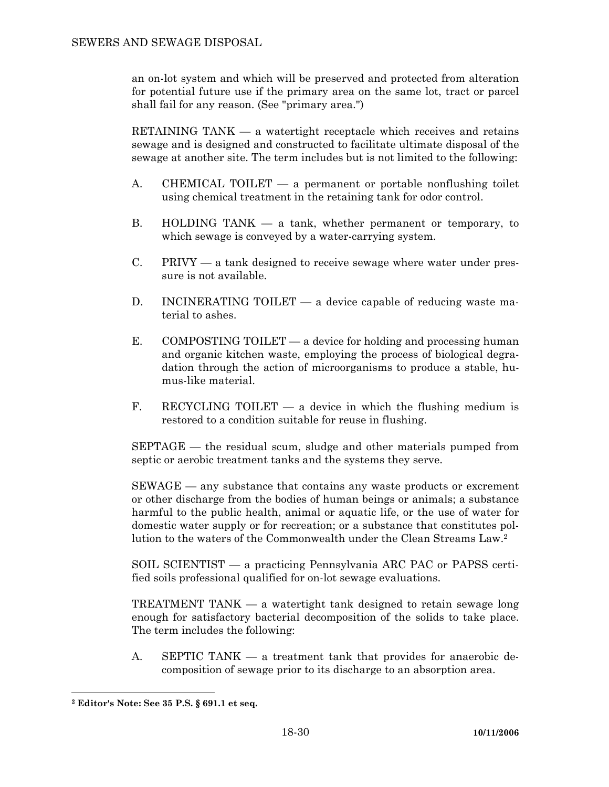an on-lot system and which will be preserved and protected from alteration for potential future use if the primary area on the same lot, tract or parcel shall fail for any reason. (See "primary area.")

 RETAINING TANK — a watertight receptacle which receives and retains sewage and is designed and constructed to facilitate ultimate disposal of the sewage at another site. The term includes but is not limited to the following:

- A. CHEMICAL TOILET a permanent or portable nonflushing toilet using chemical treatment in the retaining tank for odor control.
- B. HOLDING TANK a tank, whether permanent or temporary, to which sewage is conveyed by a water-carrying system.
- C. PRIVY a tank designed to receive sewage where water under pressure is not available.
- D. INCINERATING TOILET a device capable of reducing waste material to ashes.
- E. COMPOSTING TOILET  $-$  a device for holding and processing human and organic kitchen waste, employing the process of biological degradation through the action of microorganisms to produce a stable, humus-like material.
- F. RECYCLING TOILET a device in which the flushing medium is restored to a condition suitable for reuse in flushing.

 SEPTAGE — the residual scum, sludge and other materials pumped from septic or aerobic treatment tanks and the systems they serve.

 SEWAGE — any substance that contains any waste products or excrement or other discharge from the bodies of human beings or animals; a substance harmful to the public health, animal or aquatic life, or the use of water for domestic water supply or for recreation; or a substance that constitutes pollution to the waters of the Commonwealth under the Clean Streams Law.2

 SOIL SCIENTIST — a practicing Pennsylvania ARC PAC or PAPSS certified soils professional qualified for on-lot sewage evaluations.

 TREATMENT TANK — a watertight tank designed to retain sewage long enough for satisfactory bacterial decomposition of the solids to take place. The term includes the following:

 A. SEPTIC TANK — a treatment tank that provides for anaerobic decomposition of sewage prior to its discharge to an absorption area.

**<sup>2</sup> Editor's Note: See 35 P.S. § 691.1 et seq.**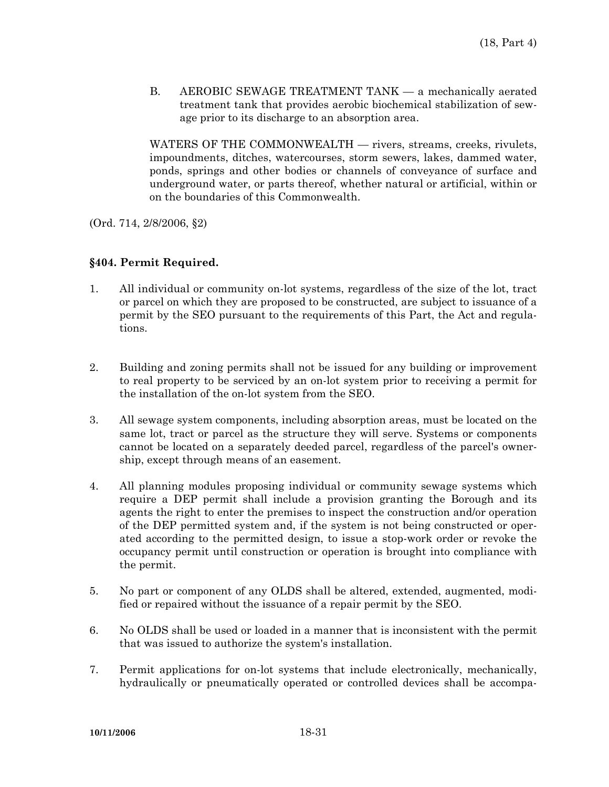B. AEROBIC SEWAGE TREATMENT TANK — a mechanically aerated treatment tank that provides aerobic biochemical stabilization of sewage prior to its discharge to an absorption area.

 WATERS OF THE COMMONWEALTH — rivers, streams, creeks, rivulets, impoundments, ditches, watercourses, storm sewers, lakes, dammed water, ponds, springs and other bodies or channels of conveyance of surface and underground water, or parts thereof, whether natural or artificial, within or on the boundaries of this Commonwealth.

(Ord. 714, 2/8/2006, §2)

# **§404. Permit Required.**

- 1. All individual or community on-lot systems, regardless of the size of the lot, tract or parcel on which they are proposed to be constructed, are subject to issuance of a permit by the SEO pursuant to the requirements of this Part, the Act and regulations.
- 2. Building and zoning permits shall not be issued for any building or improvement to real property to be serviced by an on-lot system prior to receiving a permit for the installation of the on-lot system from the SEO.
- 3. All sewage system components, including absorption areas, must be located on the same lot, tract or parcel as the structure they will serve. Systems or components cannot be located on a separately deeded parcel, regardless of the parcel's ownership, except through means of an easement.
- 4. All planning modules proposing individual or community sewage systems which require a DEP permit shall include a provision granting the Borough and its agents the right to enter the premises to inspect the construction and/or operation of the DEP permitted system and, if the system is not being constructed or operated according to the permitted design, to issue a stop-work order or revoke the occupancy permit until construction or operation is brought into compliance with the permit.
- 5. No part or component of any OLDS shall be altered, extended, augmented, modified or repaired without the issuance of a repair permit by the SEO.
- 6. No OLDS shall be used or loaded in a manner that is inconsistent with the permit that was issued to authorize the system's installation.
- 7. Permit applications for on-lot systems that include electronically, mechanically, hydraulically or pneumatically operated or controlled devices shall be accompa-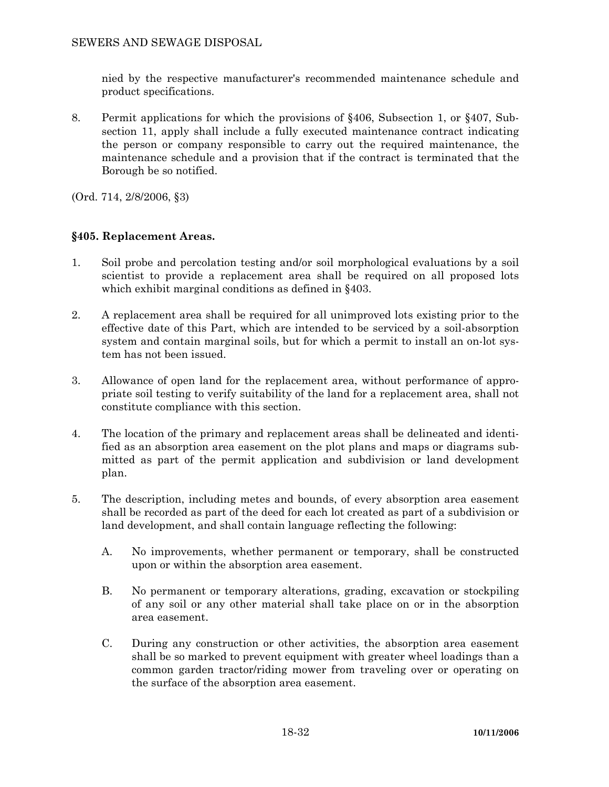nied by the respective manufacturer's recommended maintenance schedule and product specifications.

8. Permit applications for which the provisions of §406, Subsection 1, or §407, Subsection 11, apply shall include a fully executed maintenance contract indicating the person or company responsible to carry out the required maintenance, the maintenance schedule and a provision that if the contract is terminated that the Borough be so notified.

(Ord. 714, 2/8/2006, §3)

# **§405. Replacement Areas.**

- 1. Soil probe and percolation testing and/or soil morphological evaluations by a soil scientist to provide a replacement area shall be required on all proposed lots which exhibit marginal conditions as defined in §403.
- 2. A replacement area shall be required for all unimproved lots existing prior to the effective date of this Part, which are intended to be serviced by a soil-absorption system and contain marginal soils, but for which a permit to install an on-lot system has not been issued.
- 3. Allowance of open land for the replacement area, without performance of appropriate soil testing to verify suitability of the land for a replacement area, shall not constitute compliance with this section.
- 4. The location of the primary and replacement areas shall be delineated and identified as an absorption area easement on the plot plans and maps or diagrams submitted as part of the permit application and subdivision or land development plan.
- 5. The description, including metes and bounds, of every absorption area easement shall be recorded as part of the deed for each lot created as part of a subdivision or land development, and shall contain language reflecting the following:
	- A. No improvements, whether permanent or temporary, shall be constructed upon or within the absorption area easement.
	- B. No permanent or temporary alterations, grading, excavation or stockpiling of any soil or any other material shall take place on or in the absorption area easement.
	- C. During any construction or other activities, the absorption area easement shall be so marked to prevent equipment with greater wheel loadings than a common garden tractor/riding mower from traveling over or operating on the surface of the absorption area easement.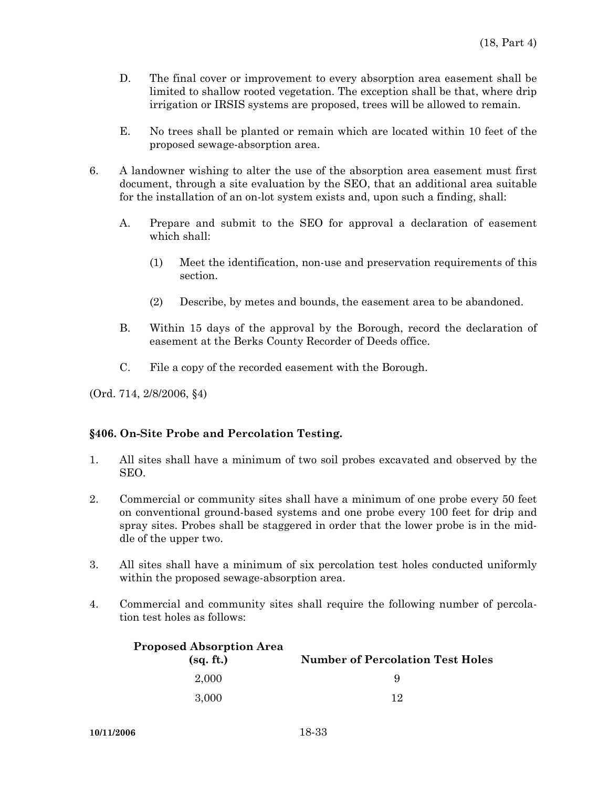- D. The final cover or improvement to every absorption area easement shall be limited to shallow rooted vegetation. The exception shall be that, where drip irrigation or IRSIS systems are proposed, trees will be allowed to remain.
- E. No trees shall be planted or remain which are located within 10 feet of the proposed sewage-absorption area.
- 6. A landowner wishing to alter the use of the absorption area easement must first document, through a site evaluation by the SEO, that an additional area suitable for the installation of an on-lot system exists and, upon such a finding, shall:
	- A. Prepare and submit to the SEO for approval a declaration of easement which shall:
		- (1) Meet the identification, non-use and preservation requirements of this section.
		- (2) Describe, by metes and bounds, the easement area to be abandoned.
	- B. Within 15 days of the approval by the Borough, record the declaration of easement at the Berks County Recorder of Deeds office.
	- C. File a copy of the recorded easement with the Borough.

(Ord. 714, 2/8/2006, §4)

#### **§406. On-Site Probe and Percolation Testing.**

- 1. All sites shall have a minimum of two soil probes excavated and observed by the SEO.
- 2. Commercial or community sites shall have a minimum of one probe every 50 feet on conventional ground-based systems and one probe every 100 feet for drip and spray sites. Probes shall be staggered in order that the lower probe is in the middle of the upper two.
- 3. All sites shall have a minimum of six percolation test holes conducted uniformly within the proposed sewage-absorption area.
- 4. Commercial and community sites shall require the following number of percolation test holes as follows:

| <b>Proposed Absorption Area</b><br>(sq. ft.) | <b>Number of Percolation Test Holes</b> |
|----------------------------------------------|-----------------------------------------|
| 2.000                                        |                                         |
| 3.000                                        | 19                                      |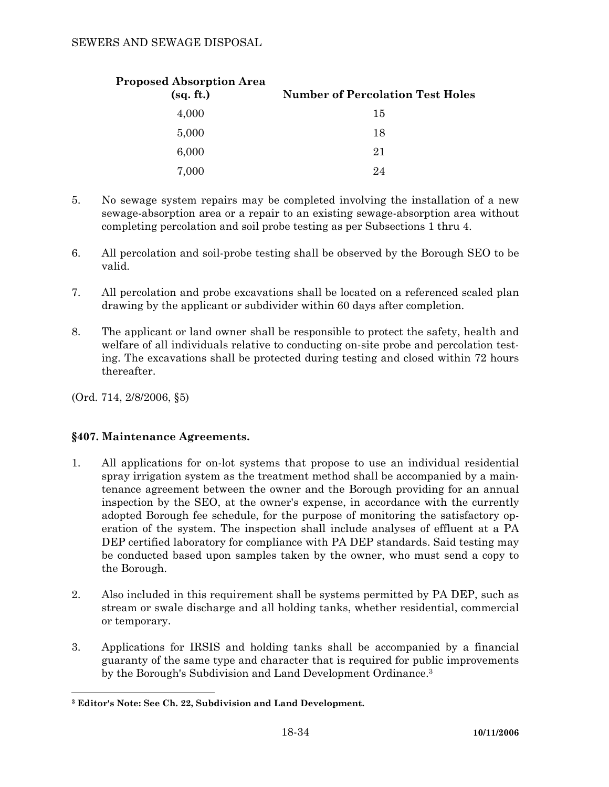| <b>Proposed Absorption Area</b><br>(sq. ft.) | <b>Number of Percolation Test Holes</b> |
|----------------------------------------------|-----------------------------------------|
| 4,000                                        | 15                                      |
| 5,000                                        | 18                                      |
| 6,000                                        | 21                                      |
| 7,000                                        | 24                                      |

- 5. No sewage system repairs may be completed involving the installation of a new sewage-absorption area or a repair to an existing sewage-absorption area without completing percolation and soil probe testing as per Subsections 1 thru 4.
- 6. All percolation and soil-probe testing shall be observed by the Borough SEO to be valid.
- 7. All percolation and probe excavations shall be located on a referenced scaled plan drawing by the applicant or subdivider within 60 days after completion.
- 8. The applicant or land owner shall be responsible to protect the safety, health and welfare of all individuals relative to conducting on-site probe and percolation testing. The excavations shall be protected during testing and closed within 72 hours thereafter.

(Ord. 714, 2/8/2006, §5)

# **§407. Maintenance Agreements.**

- 1. All applications for on-lot systems that propose to use an individual residential spray irrigation system as the treatment method shall be accompanied by a maintenance agreement between the owner and the Borough providing for an annual inspection by the SEO, at the owner's expense, in accordance with the currently adopted Borough fee schedule, for the purpose of monitoring the satisfactory operation of the system. The inspection shall include analyses of effluent at a PA DEP certified laboratory for compliance with PA DEP standards. Said testing may be conducted based upon samples taken by the owner, who must send a copy to the Borough.
- 2. Also included in this requirement shall be systems permitted by PA DEP, such as stream or swale discharge and all holding tanks, whether residential, commercial or temporary.
- 3. Applications for IRSIS and holding tanks shall be accompanied by a financial guaranty of the same type and character that is required for public improvements by the Borough's Subdivision and Land Development Ordinance.3

 **3 Editor's Note: See Ch. 22, Subdivision and Land Development.**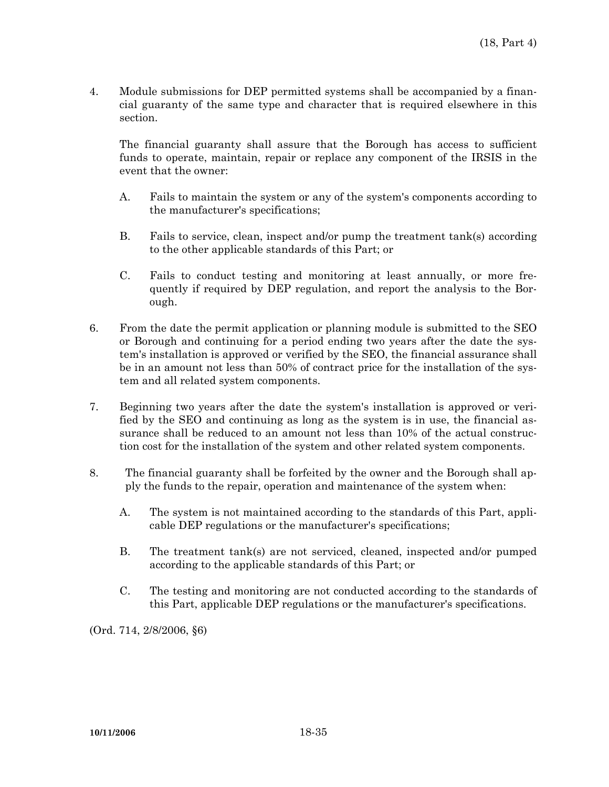4. Module submissions for DEP permitted systems shall be accompanied by a financial guaranty of the same type and character that is required elsewhere in this section.

 The financial guaranty shall assure that the Borough has access to sufficient funds to operate, maintain, repair or replace any component of the IRSIS in the event that the owner:

- A. Fails to maintain the system or any of the system's components according to the manufacturer's specifications;
- B. Fails to service, clean, inspect and/or pump the treatment tank(s) according to the other applicable standards of this Part; or
- C. Fails to conduct testing and monitoring at least annually, or more frequently if required by DEP regulation, and report the analysis to the Borough.
- 6. From the date the permit application or planning module is submitted to the SEO or Borough and continuing for a period ending two years after the date the system's installation is approved or verified by the SEO, the financial assurance shall be in an amount not less than 50% of contract price for the installation of the system and all related system components.
- 7. Beginning two years after the date the system's installation is approved or verified by the SEO and continuing as long as the system is in use, the financial assurance shall be reduced to an amount not less than 10% of the actual construction cost for the installation of the system and other related system components.
- 8. The financial guaranty shall be forfeited by the owner and the Borough shall apply the funds to the repair, operation and maintenance of the system when:
	- A. The system is not maintained according to the standards of this Part, applicable DEP regulations or the manufacturer's specifications;
	- B. The treatment tank(s) are not serviced, cleaned, inspected and/or pumped according to the applicable standards of this Part; or
	- C. The testing and monitoring are not conducted according to the standards of this Part, applicable DEP regulations or the manufacturer's specifications.

(Ord. 714, 2/8/2006, §6)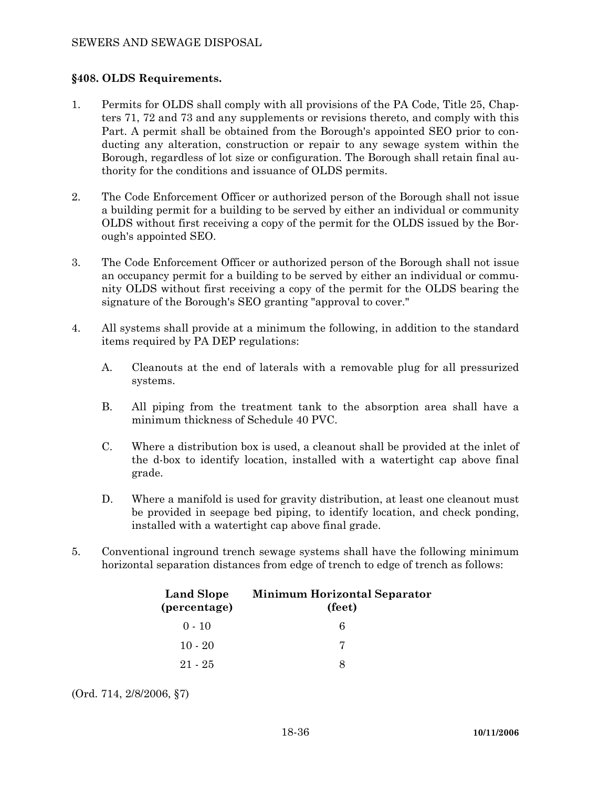# **§408. OLDS Requirements.**

- 1. Permits for OLDS shall comply with all provisions of the PA Code, Title 25, Chapters 71, 72 and 73 and any supplements or revisions thereto, and comply with this Part. A permit shall be obtained from the Borough's appointed SEO prior to conducting any alteration, construction or repair to any sewage system within the Borough, regardless of lot size or configuration. The Borough shall retain final authority for the conditions and issuance of OLDS permits.
- 2. The Code Enforcement Officer or authorized person of the Borough shall not issue a building permit for a building to be served by either an individual or community OLDS without first receiving a copy of the permit for the OLDS issued by the Borough's appointed SEO.
- 3. The Code Enforcement Officer or authorized person of the Borough shall not issue an occupancy permit for a building to be served by either an individual or community OLDS without first receiving a copy of the permit for the OLDS bearing the signature of the Borough's SEO granting "approval to cover."
- 4. All systems shall provide at a minimum the following, in addition to the standard items required by PA DEP regulations:
	- A. Cleanouts at the end of laterals with a removable plug for all pressurized systems.
	- B. All piping from the treatment tank to the absorption area shall have a minimum thickness of Schedule 40 PVC.
	- C. Where a distribution box is used, a cleanout shall be provided at the inlet of the d-box to identify location, installed with a watertight cap above final grade.
	- D. Where a manifold is used for gravity distribution, at least one cleanout must be provided in seepage bed piping, to identify location, and check ponding, installed with a watertight cap above final grade.
- 5. Conventional inground trench sewage systems shall have the following minimum horizontal separation distances from edge of trench to edge of trench as follows:

| <b>Land Slope</b><br>(percentage) | <b>Minimum Horizontal Separator</b><br>(feet) |  |
|-----------------------------------|-----------------------------------------------|--|
| $0 - 10$                          | б                                             |  |
| $10 - 20$                         |                                               |  |
| 21 - 25                           |                                               |  |

(Ord. 714, 2/8/2006, §7)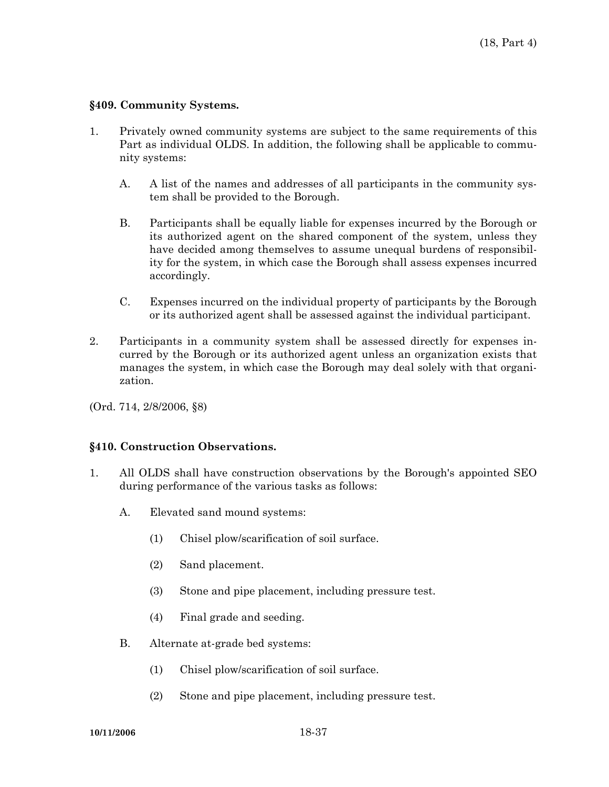#### **§409. Community Systems.**

- 1. Privately owned community systems are subject to the same requirements of this Part as individual OLDS. In addition, the following shall be applicable to community systems:
	- A. A list of the names and addresses of all participants in the community system shall be provided to the Borough.
	- B. Participants shall be equally liable for expenses incurred by the Borough or its authorized agent on the shared component of the system, unless they have decided among themselves to assume unequal burdens of responsibility for the system, in which case the Borough shall assess expenses incurred accordingly.
	- C. Expenses incurred on the individual property of participants by the Borough or its authorized agent shall be assessed against the individual participant.
- 2. Participants in a community system shall be assessed directly for expenses incurred by the Borough or its authorized agent unless an organization exists that manages the system, in which case the Borough may deal solely with that organization.

(Ord. 714, 2/8/2006, §8)

#### **§410. Construction Observations.**

- 1. All OLDS shall have construction observations by the Borough's appointed SEO during performance of the various tasks as follows:
	- A. Elevated sand mound systems:
		- (1) Chisel plow/scarification of soil surface.
		- (2) Sand placement.
		- (3) Stone and pipe placement, including pressure test.
		- (4) Final grade and seeding.
	- B. Alternate at-grade bed systems:
		- (1) Chisel plow/scarification of soil surface.
		- (2) Stone and pipe placement, including pressure test.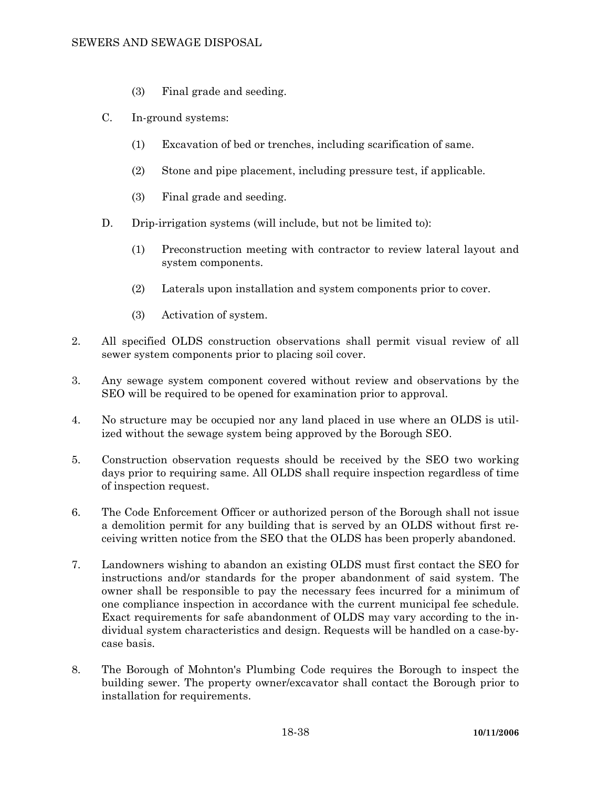- (3) Final grade and seeding.
- C. In-ground systems:
	- (1) Excavation of bed or trenches, including scarification of same.
	- (2) Stone and pipe placement, including pressure test, if applicable.
	- (3) Final grade and seeding.
- D. Drip-irrigation systems (will include, but not be limited to):
	- (1) Preconstruction meeting with contractor to review lateral layout and system components.
	- (2) Laterals upon installation and system components prior to cover.
	- (3) Activation of system.
- 2. All specified OLDS construction observations shall permit visual review of all sewer system components prior to placing soil cover.
- 3. Any sewage system component covered without review and observations by the SEO will be required to be opened for examination prior to approval.
- 4. No structure may be occupied nor any land placed in use where an OLDS is utilized without the sewage system being approved by the Borough SEO.
- 5. Construction observation requests should be received by the SEO two working days prior to requiring same. All OLDS shall require inspection regardless of time of inspection request.
- 6. The Code Enforcement Officer or authorized person of the Borough shall not issue a demolition permit for any building that is served by an OLDS without first receiving written notice from the SEO that the OLDS has been properly abandoned.
- 7. Landowners wishing to abandon an existing OLDS must first contact the SEO for instructions and/or standards for the proper abandonment of said system. The owner shall be responsible to pay the necessary fees incurred for a minimum of one compliance inspection in accordance with the current municipal fee schedule. Exact requirements for safe abandonment of OLDS may vary according to the individual system characteristics and design. Requests will be handled on a case-bycase basis.
- 8. The Borough of Mohnton's Plumbing Code requires the Borough to inspect the building sewer. The property owner/excavator shall contact the Borough prior to installation for requirements.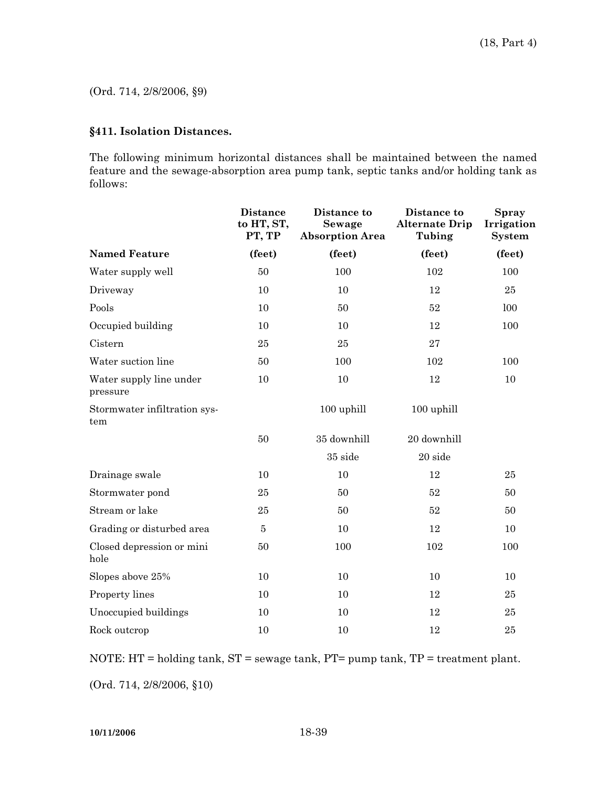(Ord. 714, 2/8/2006, §9)

# **§411. Isolation Distances.**

The following minimum horizontal distances shall be maintained between the named feature and the sewage-absorption area pump tank, septic tanks and/or holding tank as follows:

|                                     | <b>Distance</b><br>to HT, ST,<br>PT, TP | Distance to<br><b>Sewage</b><br><b>Absorption Area</b> | Distance to<br><b>Alternate Drip</b><br>Tubing | <b>Spray</b><br>Irrigation<br><b>System</b> |
|-------------------------------------|-----------------------------------------|--------------------------------------------------------|------------------------------------------------|---------------------------------------------|
| <b>Named Feature</b>                | (feet)                                  | (feet)                                                 | (feet)                                         | (feet)                                      |
| Water supply well                   | 50                                      | 100                                                    | 102                                            | 100                                         |
| Driveway                            | 10                                      | 10                                                     | 12                                             | 25                                          |
| Pools                               | 10                                      | 50                                                     | 52                                             | 100                                         |
| Occupied building                   | 10                                      | 10                                                     | 12                                             | 100                                         |
| Cistern                             | 25                                      | $\bf 25$                                               | 27                                             |                                             |
| Water suction line                  | 50                                      | 100                                                    | 102                                            | 100                                         |
| Water supply line under<br>pressure | 10                                      | 10                                                     | 12                                             | 10                                          |
| Stormwater infiltration sys-<br>tem |                                         | 100 uphill                                             | 100 uphill                                     |                                             |
|                                     | 50                                      | 35 downhill                                            | 20 downhill                                    |                                             |
|                                     |                                         | 35 side                                                | 20 side                                        |                                             |
| Drainage swale                      | 10                                      | 10                                                     | 12                                             | 25                                          |
| Stormwater pond                     | 25                                      | 50                                                     | 52                                             | 50                                          |
| Stream or lake                      | 25                                      | 50                                                     | 52                                             | 50                                          |
| Grading or disturbed area           | 5                                       | 10                                                     | 12                                             | 10                                          |
| Closed depression or mini<br>hole   | 50                                      | 100                                                    | 102                                            | 100                                         |
| Slopes above 25%                    | 10                                      | 10                                                     | 10                                             | 10                                          |
| Property lines                      | 10                                      | 10                                                     | 12                                             | 25                                          |
| Unoccupied buildings                | 10                                      | 10                                                     | 12                                             | 25                                          |
| Rock outcrop                        | 10                                      | 10                                                     | 12                                             | 25                                          |

NOTE: HT = holding tank, ST = sewage tank, PT= pump tank, TP = treatment plant.

(Ord. 714, 2/8/2006, §10)

**10/11/2006** 18-39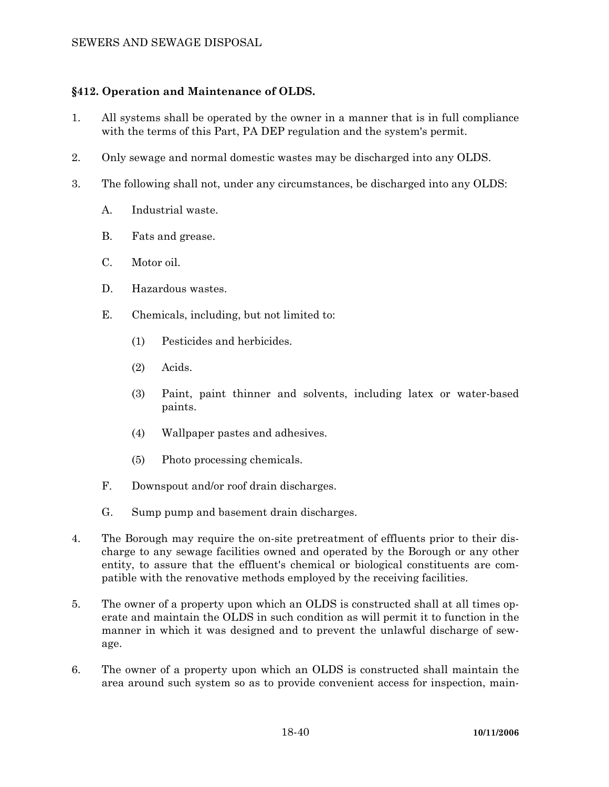# **§412. Operation and Maintenance of OLDS.**

- 1. All systems shall be operated by the owner in a manner that is in full compliance with the terms of this Part, PA DEP regulation and the system's permit.
- 2. Only sewage and normal domestic wastes may be discharged into any OLDS.
- 3. The following shall not, under any circumstances, be discharged into any OLDS:
	- A. Industrial waste.
	- B. Fats and grease.
	- C. Motor oil.
	- D. Hazardous wastes.
	- E. Chemicals, including, but not limited to:
		- (1) Pesticides and herbicides.
		- (2) Acids.
		- (3) Paint, paint thinner and solvents, including latex or water-based paints.
		- (4) Wallpaper pastes and adhesives.
		- (5) Photo processing chemicals.
	- F. Downspout and/or roof drain discharges.
	- G. Sump pump and basement drain discharges.
- 4. The Borough may require the on-site pretreatment of effluents prior to their discharge to any sewage facilities owned and operated by the Borough or any other entity, to assure that the effluent's chemical or biological constituents are compatible with the renovative methods employed by the receiving facilities.
- 5. The owner of a property upon which an OLDS is constructed shall at all times operate and maintain the OLDS in such condition as will permit it to function in the manner in which it was designed and to prevent the unlawful discharge of sewage.
- 6. The owner of a property upon which an OLDS is constructed shall maintain the area around such system so as to provide convenient access for inspection, main-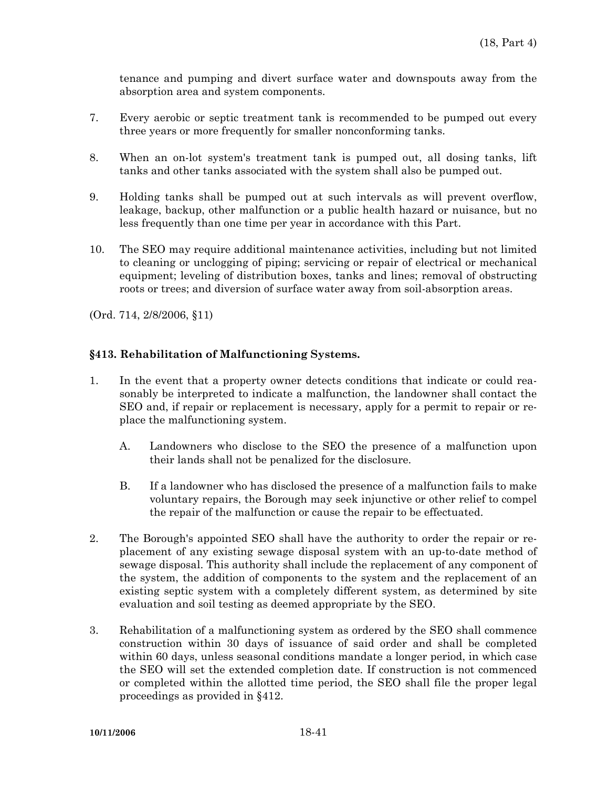tenance and pumping and divert surface water and downspouts away from the absorption area and system components.

- 7. Every aerobic or septic treatment tank is recommended to be pumped out every three years or more frequently for smaller nonconforming tanks.
- 8. When an on-lot system's treatment tank is pumped out, all dosing tanks, lift tanks and other tanks associated with the system shall also be pumped out.
- 9. Holding tanks shall be pumped out at such intervals as will prevent overflow, leakage, backup, other malfunction or a public health hazard or nuisance, but no less frequently than one time per year in accordance with this Part.
- 10. The SEO may require additional maintenance activities, including but not limited to cleaning or unclogging of piping; servicing or repair of electrical or mechanical equipment; leveling of distribution boxes, tanks and lines; removal of obstructing roots or trees; and diversion of surface water away from soil-absorption areas.

(Ord. 714, 2/8/2006, §11)

### **§413. Rehabilitation of Malfunctioning Systems.**

- 1. In the event that a property owner detects conditions that indicate or could reasonably be interpreted to indicate a malfunction, the landowner shall contact the SEO and, if repair or replacement is necessary, apply for a permit to repair or replace the malfunctioning system.
	- A. Landowners who disclose to the SEO the presence of a malfunction upon their lands shall not be penalized for the disclosure.
	- B. If a landowner who has disclosed the presence of a malfunction fails to make voluntary repairs, the Borough may seek injunctive or other relief to compel the repair of the malfunction or cause the repair to be effectuated.
- 2. The Borough's appointed SEO shall have the authority to order the repair or replacement of any existing sewage disposal system with an up-to-date method of sewage disposal. This authority shall include the replacement of any component of the system, the addition of components to the system and the replacement of an existing septic system with a completely different system, as determined by site evaluation and soil testing as deemed appropriate by the SEO.
- 3. Rehabilitation of a malfunctioning system as ordered by the SEO shall commence construction within 30 days of issuance of said order and shall be completed within 60 days, unless seasonal conditions mandate a longer period, in which case the SEO will set the extended completion date. If construction is not commenced or completed within the allotted time period, the SEO shall file the proper legal proceedings as provided in §412.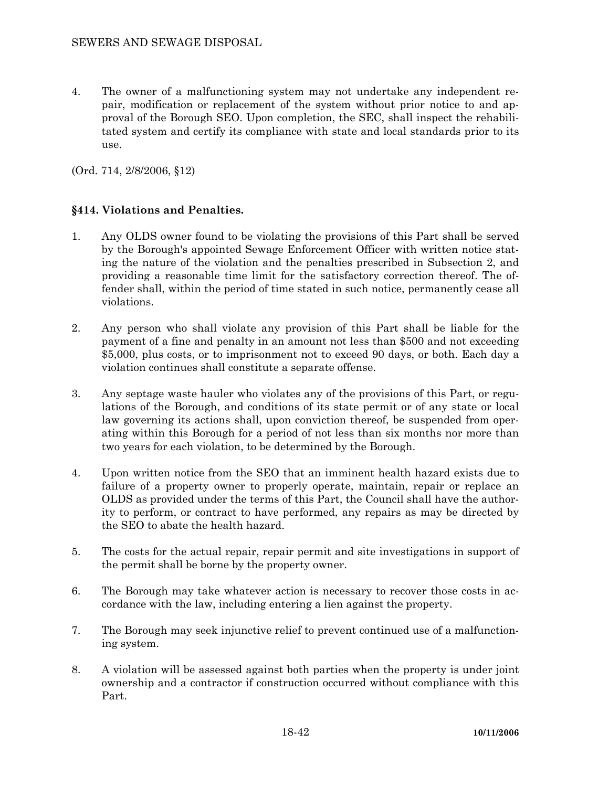4. The owner of a malfunctioning system may not undertake any independent repair, modification or replacement of the system without prior notice to and approval of the Borough SEO. Upon completion, the SEC, shall inspect the rehabilitated system and certify its compliance with state and local standards prior to its use.

(Ord. 714, 2/8/2006, §12)

# **§414. Violations and Penalties.**

- 1. Any OLDS owner found to be violating the provisions of this Part shall be served by the Borough's appointed Sewage Enforcement Officer with written notice stating the nature of the violation and the penalties prescribed in Subsection 2, and providing a reasonable time limit for the satisfactory correction thereof. The offender shall, within the period of time stated in such notice, permanently cease all violations.
- 2. Any person who shall violate any provision of this Part shall be liable for the payment of a fine and penalty in an amount not less than \$500 and not exceeding \$5,000, plus costs, or to imprisonment not to exceed 90 days, or both. Each day a violation continues shall constitute a separate offense.
- 3. Any septage waste hauler who violates any of the provisions of this Part, or regulations of the Borough, and conditions of its state permit or of any state or local law governing its actions shall, upon conviction thereof, be suspended from operating within this Borough for a period of not less than six months nor more than two years for each violation, to be determined by the Borough.
- 4. Upon written notice from the SEO that an imminent health hazard exists due to failure of a property owner to properly operate, maintain, repair or replace an OLDS as provided under the terms of this Part, the Council shall have the authority to perform, or contract to have performed, any repairs as may be directed by the SEO to abate the health hazard.
- 5. The costs for the actual repair, repair permit and site investigations in support of the permit shall be borne by the property owner.
- 6. The Borough may take whatever action is necessary to recover those costs in accordance with the law, including entering a lien against the property.
- 7. The Borough may seek injunctive relief to prevent continued use of a malfunctioning system.
- 8. A violation will be assessed against both parties when the property is under joint ownership and a contractor if construction occurred without compliance with this Part.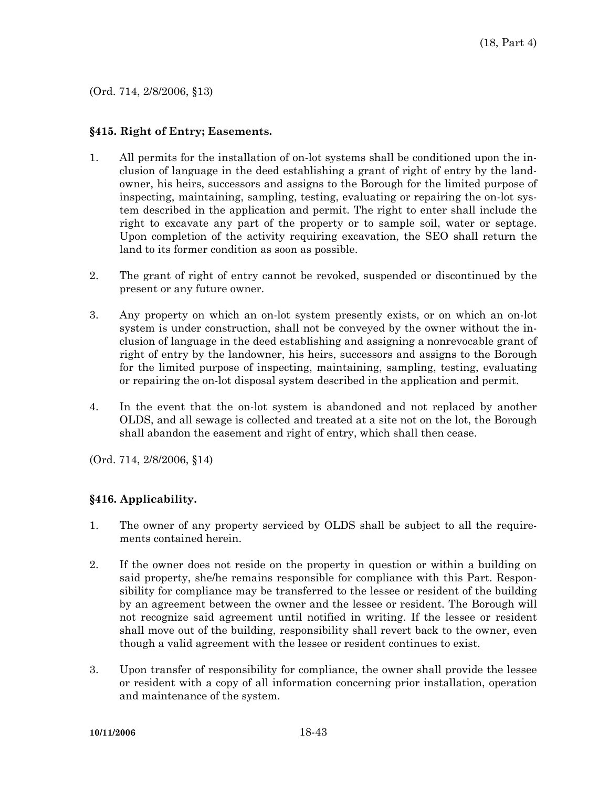(Ord. 714, 2/8/2006, §13)

#### **§415. Right of Entry; Easements.**

- 1. All permits for the installation of on-lot systems shall be conditioned upon the inclusion of language in the deed establishing a grant of right of entry by the landowner, his heirs, successors and assigns to the Borough for the limited purpose of inspecting, maintaining, sampling, testing, evaluating or repairing the on-lot system described in the application and permit. The right to enter shall include the right to excavate any part of the property or to sample soil, water or septage. Upon completion of the activity requiring excavation, the SEO shall return the land to its former condition as soon as possible.
- 2. The grant of right of entry cannot be revoked, suspended or discontinued by the present or any future owner.
- 3. Any property on which an on-lot system presently exists, or on which an on-lot system is under construction, shall not be conveyed by the owner without the inclusion of language in the deed establishing and assigning a nonrevocable grant of right of entry by the landowner, his heirs, successors and assigns to the Borough for the limited purpose of inspecting, maintaining, sampling, testing, evaluating or repairing the on-lot disposal system described in the application and permit.
- 4. In the event that the on-lot system is abandoned and not replaced by another OLDS, and all sewage is collected and treated at a site not on the lot, the Borough shall abandon the easement and right of entry, which shall then cease.

(Ord. 714, 2/8/2006, §14)

# **§416. Applicability.**

- 1. The owner of any property serviced by OLDS shall be subject to all the requirements contained herein.
- 2. If the owner does not reside on the property in question or within a building on said property, she/he remains responsible for compliance with this Part. Responsibility for compliance may be transferred to the lessee or resident of the building by an agreement between the owner and the lessee or resident. The Borough will not recognize said agreement until notified in writing. If the lessee or resident shall move out of the building, responsibility shall revert back to the owner, even though a valid agreement with the lessee or resident continues to exist.
- 3. Upon transfer of responsibility for compliance, the owner shall provide the lessee or resident with a copy of all information concerning prior installation, operation and maintenance of the system.